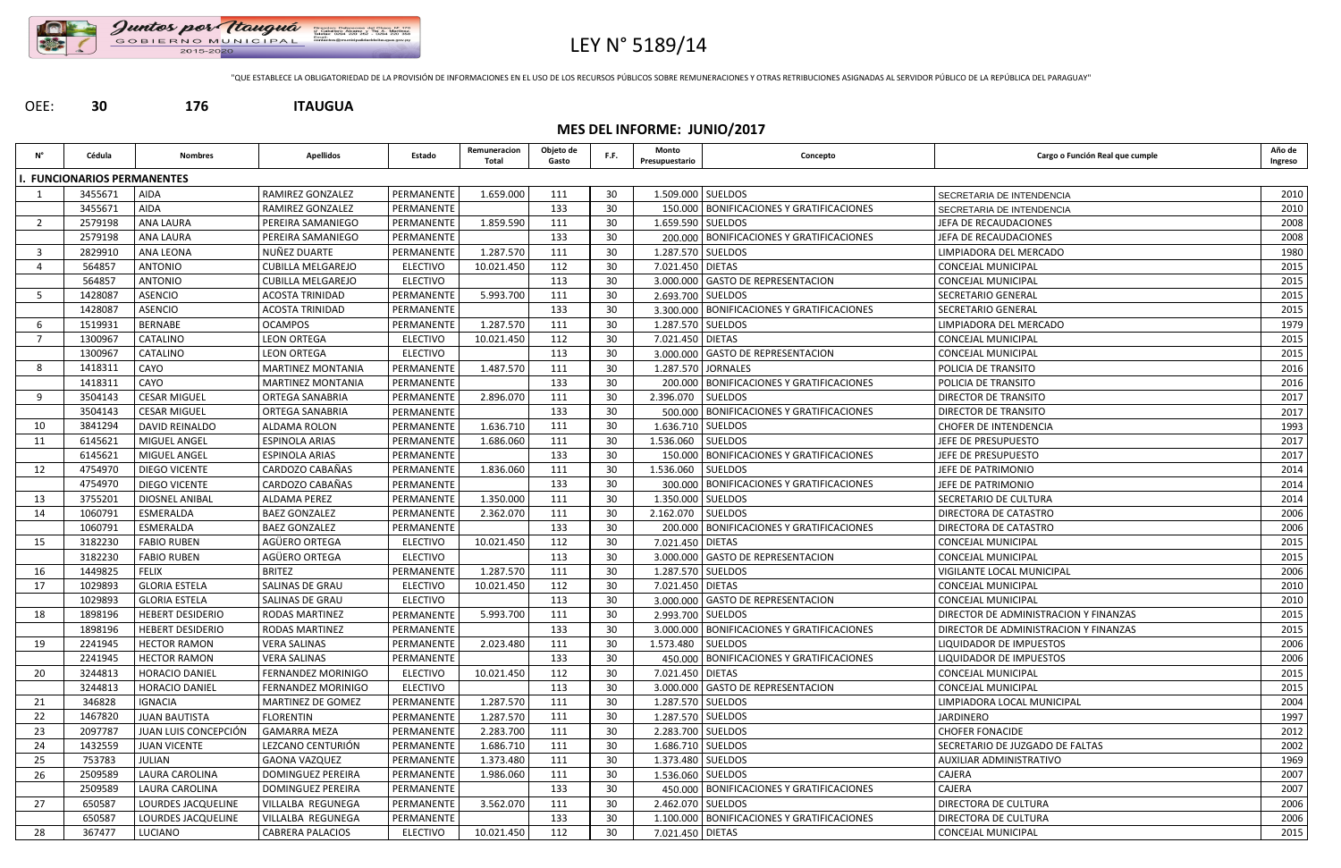

## LEY N° 5189/14

"QUE ESTABLECE LA OBLIGATORIEDAD DE LA PROVISIÓN DE INFORMACIONES EN EL USO DE LOS RECURSOS PÚBLICOS SOBRE REMUNERACIONES Y OTRAS RETRIBUCIONES ASIGNADAS AL SERVIDOR PÚBLICO DE LA REPÚBLICA DEL PARAGUAY"

### OEE: **30 176 ITAUGUA**

### **MES DEL INFORME: JUNIO/2017**

|     | Cédula                      | <b>Nombres</b>          | <b>Apellidos</b>          | Estado          | Remuneracion<br>Total | Objeto de<br>Gasto | F.F. | Monto<br>Presupuestario | Concepto                                   | Cargo o Función Real que cumple       | Año de<br>Ingreso |
|-----|-----------------------------|-------------------------|---------------------------|-----------------|-----------------------|--------------------|------|-------------------------|--------------------------------------------|---------------------------------------|-------------------|
|     | I. FUNCIONARIOS PERMANENTES |                         |                           |                 |                       |                    |      |                         |                                            |                                       |                   |
|     | 3455671                     | <b>AIDA</b>             | RAMIREZ GONZALEZ          | PERMANENTE      | 1.659.000             | 111                | 30   | 1.509.000 SUELDOS       |                                            | SECRETARIA DE INTENDENCIA             | 2010              |
|     | 3455671                     | <b>AIDA</b>             | RAMIREZ GONZALEZ          | PERMANENTE      |                       | 133                | 30   |                         | 150.000 BONIFICACIONES Y GRATIFICACIONES   | SECRETARIA DE INTENDENCIA             | 2010              |
| 2   | 2579198                     | ANA LAURA               | PEREIRA SAMANIEGO         | PERMANENTE      | 1.859.590             | 111                | 30   | 1.659.590 SUELDOS       |                                            | JEFA DE RECAUDACIONES                 | 2008              |
|     | 2579198                     | <b>ANA LAURA</b>        | PEREIRA SAMANIEGO         | PERMANENTE      |                       | 133                | 30   |                         | 200.000   BONIFICACIONES Y GRATIFICACIONES | JEFA DE RECAUDACIONES                 | 2008              |
| 3   | 2829910                     | ANA LEONA               | NUÑEZ DUARTE              | PERMANENTE      | 1.287.570             | 111                | 30   | 1.287.570 SUELDOS       |                                            | LIMPIADORA DEL MERCADO                | 1980              |
|     | 564857                      | <b>ANTONIO</b>          | <b>CUBILLA MELGAREJO</b>  | <b>ELECTIVO</b> | 10.021.450            | 112                | 30   | 7.021.450 DIETAS        |                                            | <b>CONCEJAL MUNICIPAL</b>             | 2015              |
|     | 564857                      | <b>ANTONIO</b>          | <b>CUBILLA MELGAREJO</b>  | <b>ELECTIVO</b> |                       | 113                | 30   |                         | 3.000.000 GASTO DE REPRESENTACION          | <b>CONCEJAL MUNICIPAL</b>             | 2015              |
|     | 1428087                     | <b>ASENCIO</b>          | <b>ACOSTA TRINIDAD</b>    | PERMANENTE      | 5.993.700             | 111                | 30   | 2.693.700 SUELDOS       |                                            | SECRETARIO GENERAL                    | 2015              |
|     | 1428087                     | <b>ASENCIO</b>          | <b>ACOSTA TRINIDAD</b>    | PERMANENTE      |                       | 133                | 30   |                         | 3.300.000 BONIFICACIONES Y GRATIFICACIONES | SECRETARIO GENERAL                    | 2015              |
|     | 1519931                     | <b>BERNABE</b>          | <b>OCAMPOS</b>            | PERMANENTE      | 1.287.570             | 111                | 30   | 1.287.570 SUELDOS       |                                            | LIMPIADORA DEL MERCADO                | 1979              |
| 7   | 1300967                     | CATALINO                | <b>LEON ORTEGA</b>        | <b>ELECTIVO</b> | 10.021.450            | 112                | 30   | 7.021.450 DIETAS        |                                            | CONCEJAL MUNICIPAL                    | 2015              |
|     | 1300967                     | CATALINO                | <b>LEON ORTEGA</b>        | <b>ELECTIVO</b> |                       | 113                | 30   |                         | 3.000.000 GASTO DE REPRESENTACION          | <b>CONCEJAL MUNICIPAL</b>             | 2015              |
| 8   | 1418311                     | CAYO                    | <b>MARTINEZ MONTANIA</b>  | PERMANENTE      | 1.487.570             | 111                | 30   |                         | 1.287.570 JORNALES                         | POLICIA DE TRANSITO                   | 2016              |
|     | 1418311                     | CAYO                    | <b>MARTINEZ MONTANIA</b>  | PERMANENTE      |                       | 133                | 30   |                         | 200.000   BONIFICACIONES Y GRATIFICACIONES | POLICIA DE TRANSITO                   | 2016              |
| 9   | 3504143                     | <b>CESAR MIGUEL</b>     | ORTEGA SANABRIA           | PERMANENTE      | 2.896.070             | 111                | 30   | 2.396.070               | <b>SUELDOS</b>                             | DIRECTOR DE TRANSITO                  | 2017              |
|     | 3504143                     | <b>CESAR MIGUEL</b>     | ORTEGA SANABRIA           | PERMANENTE      |                       | 133                | 30   |                         | 500.000   BONIFICACIONES Y GRATIFICACIONES | DIRECTOR DE TRANSITO                  | 2017              |
| 10  | 3841294                     | DAVID REINALDO          | ALDAMA ROLON              | PERMANENTE      | 1.636.710             | 111                | 30   | 1.636.710 SUELDOS       |                                            | <b>CHOFER DE INTENDENCIA</b>          | 1993              |
| 11  | 6145621                     | MIGUEL ANGEL            | <b>ESPINOLA ARIAS</b>     | PERMANENTE      | 1.686.060             | 111                | 30   | 1.536.060               | <b>SUELDOS</b>                             | JEFE DE PRESUPUESTO                   | 2017              |
|     | 6145621                     | MIGUEL ANGEL            | <b>ESPINOLA ARIAS</b>     | PERMANENTE      |                       | 133                | 30   |                         | 150.000 BONIFICACIONES Y GRATIFICACIONES   | JEFE DE PRESUPUESTO                   | 2017              |
| 12  | 4754970                     | <b>DIEGO VICENTE</b>    | CARDOZO CABAÑAS           | PERMANENTE      | 1.836.060             | 111                | 30   | 1.536.060               | <b>SUELDOS</b>                             | JEFE DE PATRIMONIO                    | 2014              |
|     | 4754970                     | DIEGO VICENTE           | CARDOZO CABAÑAS           | PERMANENTE      |                       | 133                | 30   |                         | 300.000 BONIFICACIONES Y GRATIFICACIONES   | JEFE DE PATRIMONIO                    | 2014              |
| -13 | 3755201                     | DIOSNEL ANIBAL          | ALDAMA PEREZ              | PERMANENTE      | 1.350.000             | 111                | 30   | 1.350.000 SUELDOS       |                                            | SECRETARIO DE CULTURA                 | 2014              |
| 14  | 1060791                     | ESMERALDA               | <b>BAEZ GONZALEZ</b>      | PERMANENTE      | 2.362.070             | 111                | 30   | 2.162.070               | <b>SUELDOS</b>                             | DIRECTORA DE CATASTRO                 | 2006              |
|     | 1060791                     | ESMERALDA               | <b>BAEZ GONZALEZ</b>      | PERMANENTE      |                       | 133                | 30   |                         | 200.000   BONIFICACIONES Y GRATIFICACIONES | DIRECTORA DE CATASTRO                 | 2006              |
| 15  | 3182230                     | <b>FABIO RUBEN</b>      | AGÜERO ORTEGA             | <b>ELECTIVO</b> | 10.021.450            | 112                | 30   | 7.021.450 DIETAS        |                                            | <b>CONCEJAL MUNICIPAL</b>             | 2015              |
|     | 3182230                     | <b>FABIO RUBEN</b>      | AGÜERO ORTEGA             | <b>ELECTIVO</b> |                       | 113                | 30   |                         | 3.000.000 GASTO DE REPRESENTACION          | <b>CONCEJAL MUNICIPAL</b>             | 2015              |
| 16  | 1449825                     | <b>FELIX</b>            | <b>BRITEZ</b>             | PERMANENTE      | 1.287.570             | 111                | 30   | 1.287.570 SUELDOS       |                                            | VIGILANTE LOCAL MUNICIPAL             | 2006              |
| 17  | 1029893                     | <b>GLORIA ESTELA</b>    | SALINAS DE GRAU           | <b>ELECTIVO</b> | 10.021.450            | 112                | 30   | 7.021.450 DIETAS        |                                            | CONCEJAL MUNICIPAL                    | 2010              |
|     | 1029893                     | <b>GLORIA ESTELA</b>    | SALINAS DE GRAU           | <b>ELECTIVO</b> |                       | 113                | 30   |                         | 3.000.000 GASTO DE REPRESENTACION          | <b>CONCEJAL MUNICIPAL</b>             | 2010              |
| 18  | 1898196                     | HEBERT DESIDERIO        | RODAS MARTINEZ            | PERMANENTE      | 5.993.700             | 111                | 30   | 2.993.700 SUELDOS       |                                            | DIRECTOR DE ADMINISTRACION Y FINANZAS | 2015              |
|     | 1898196                     | <b>HEBERT DESIDERIO</b> | <b>RODAS MARTINEZ</b>     | PERMANENTE      |                       | 133                | 30   |                         | 3.000.000 BONIFICACIONES Y GRATIFICACIONES | DIRECTOR DE ADMINISTRACION Y FINANZAS | 2015              |
| 19  | 2241945                     | <b>HECTOR RAMON</b>     | <b>VERA SALINAS</b>       | PERMANENTE      | 2.023.480             | 111                | 30   | 1.573.480 SUELDOS       |                                            | LIQUIDADOR DE IMPUESTOS               | 2006              |
|     | 2241945                     | <b>HECTOR RAMON</b>     | <b>VERA SALINAS</b>       | PERMANENTE      |                       | 133                | 30   |                         | 450.000 BONIFICACIONES Y GRATIFICACIONES   | LIQUIDADOR DE IMPUESTOS               | 2006              |
| 20  | 3244813                     | HORACIO DANIEL          | FERNANDEZ MORINIGO        | <b>ELECTIVO</b> | 10.021.450            | 112                | 30   | 7.021.450 DIETAS        |                                            | CONCEJAL MUNICIPAL                    | 2015              |
|     | 3244813                     | HORACIO DANIEL          | <b>FERNANDEZ MORINIGO</b> | <b>ELECTIVO</b> |                       | 113                | 30   |                         | 3.000.000 GASTO DE REPRESENTACION          | CONCEJAL MUNICIPAL                    | 2015              |
| 21  | 346828                      | <b>IGNACIA</b>          | MARTINEZ DE GOMEZ         | PERMANENTE      | 1.287.570             | 111                | 30   | 1.287.570 SUELDOS       |                                            | LIMPIADORA LOCAL MUNICIPAL            | 2004              |
| 22  | 1467820                     | <b>JUAN BAUTISTA</b>    | <b>FLORENTIN</b>          | PERMANENTE      | 1.287.570             | 111                | 30   | 1.287.570 SUELDOS       |                                            | <b>JARDINERO</b>                      | 1997              |
| 23  | 2097787                     | JUAN LUIS CONCEPCIÓN    | <b>GAMARRA MEZA</b>       | PERMANENTE      | 2.283.700             | 111                | 30   | 2.283.700 SUELDOS       |                                            | <b>CHOFER FONACIDE</b>                | 2012              |
| 24  | 1432559                     | <b>JUAN VICENTE</b>     | LEZCANO CENTURIÓN         | PERMANENTE      | 1.686.710             | 111                | 30   | 1.686.710 SUELDOS       |                                            | SECRETARIO DE JUZGADO DE FALTAS       | 2002              |
| 25  | 753783                      | <b>JULIAN</b>           | <b>GAONA VAZQUEZ</b>      | PERMANENTE      | 1.373.480             | 111                | 30   | 1.373.480 SUELDOS       |                                            | AUXILIAR ADMINISTRATIVO               | 1969              |
| 26  | 2509589                     | LAURA CAROLINA          | <b>DOMINGUEZ PEREIRA</b>  | PERMANENTE      | 1.986.060             | 111                | 30   | 1.536.060 SUELDOS       |                                            | CAJERA                                | 2007              |
|     | 2509589                     | LAURA CAROLINA          | <b>DOMINGUEZ PEREIRA</b>  | PERMANENTE      |                       | 133                | 30   |                         | 450.000 BONIFICACIONES Y GRATIFICACIONES   | CAJERA                                | 2007              |
| 27  | 650587                      | LOURDES JACQUELINE      | VILLALBA REGUNEGA         | PERMANENTE      | 3.562.070             | 111                | 30   | 2.462.070 SUELDOS       |                                            | DIRECTORA DE CULTURA                  | 2006              |
|     | 650587                      | LOURDES JACQUELINE      | VILLALBA REGUNEGA         | PERMANENTE      |                       | 133                | 30   |                         | 1.100.000 BONIFICACIONES Y GRATIFICACIONES | DIRECTORA DE CULTURA                  | 2006              |
| 28  | 367477                      | LUCIANO                 | <b>CABRERA PALACIOS</b>   | <b>ELECTIVO</b> | 10.021.450            | 112                | 30   | 7.021.450 DIETAS        |                                            | CONCEJAL MUNICIPAL                    | 2015              |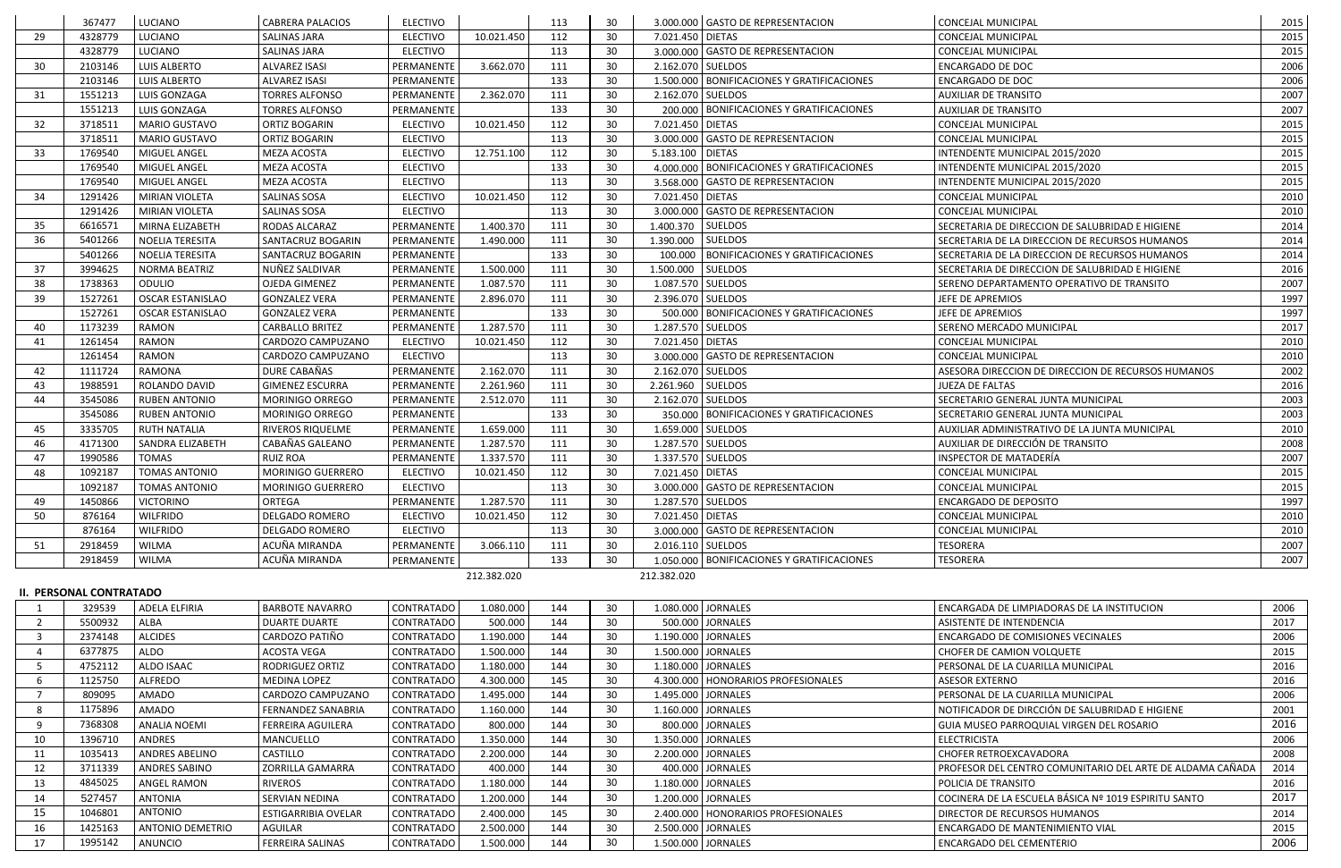|    | 367477  | LUCIANO                 | <b>CABRERA PALACIOS</b> | <b>ELECTIVO</b> |             | 113 | 30 | 3.000.000 GASTO DE REPRESENTACION                              | <b>CONCEJAL MUNICIPAL</b>                          | 2015 |
|----|---------|-------------------------|-------------------------|-----------------|-------------|-----|----|----------------------------------------------------------------|----------------------------------------------------|------|
| 29 | 4328779 | LUCIANO                 | <b>SALINAS JARA</b>     | <b>ELECTIVO</b> | 10.021.450  | 112 | 30 | 7.021.450 DIETAS                                               | <b>CONCEJAL MUNICIPAL</b>                          | 2015 |
|    | 4328779 | LUCIANO                 | <b>SALINAS JARA</b>     | <b>ELECTIVO</b> |             | 113 | 30 | 3.000.000 GASTO DE REPRESENTACION                              | <b>CONCEJAL MUNICIPAL</b>                          | 2015 |
| 30 | 2103146 | <b>LUIS ALBERTO</b>     | <b>ALVAREZ ISASI</b>    | PERMANENTE      | 3.662.070   | 111 | 30 | 2.162.070 SUELDOS                                              | <b>ENCARGADO DE DOC</b>                            | 2006 |
|    | 2103146 | <b>LUIS ALBERTO</b>     | <b>ALVAREZ ISASI</b>    | PERMANENTE      |             | 133 | 30 | 1.500.000 BONIFICACIONES Y GRATIFICACIONES                     | <b>ENCARGADO DE DOC</b>                            | 2006 |
| 31 | 1551213 | LUIS GONZAGA            | <b>TORRES ALFONSO</b>   | PERMANENTE      | 2.362.070   | 111 | 30 | 2.162.070 SUELDOS                                              | <b>AUXILIAR DE TRANSITO</b>                        | 2007 |
|    | 1551213 | LUIS GONZAGA            | <b>TORRES ALFONSO</b>   | PERMANENTE      |             | 133 | 30 | 200.000 BONIFICACIONES Y GRATIFICACIONES                       | <b>AUXILIAR DE TRANSITO</b>                        | 2007 |
| 32 | 3718511 | <b>MARIO GUSTAVO</b>    | <b>ORTIZ BOGARIN</b>    | <b>ELECTIVO</b> | 10.021.450  | 112 | 30 | 7.021.450 DIETAS                                               | CONCEJAL MUNICIPAL                                 | 2015 |
|    | 3718511 | <b>MARIO GUSTAVO</b>    | <b>ORTIZ BOGARIN</b>    | <b>ELECTIVO</b> |             | 113 | 30 | 3.000.000 GASTO DE REPRESENTACION                              | <b>CONCEJAL MUNICIPAL</b>                          | 2015 |
| 33 | 1769540 | <b>MIGUEL ANGEL</b>     | <b>MEZA ACOSTA</b>      | <b>ELECTIVO</b> | 12.751.100  | 112 | 30 | 5.183.100<br><b>DIETAS</b>                                     | INTENDENTE MUNICIPAL 2015/2020                     | 2015 |
|    | 1769540 | MIGUEL ANGEL            | MEZA ACOSTA             | <b>ELECTIVO</b> |             | 133 | 30 | <b>BONIFICACIONES Y GRATIFICACIONES</b><br>4.000.000           | INTENDENTE MUNICIPAL 2015/2020                     | 2015 |
|    | 1769540 | MIGUEL ANGEL            | <b>MEZA ACOSTA</b>      | <b>ELECTIVO</b> |             | 113 | 30 | 3.568.000 GASTO DE REPRESENTACION                              | INTENDENTE MUNICIPAL 2015/2020                     | 2015 |
| 34 | 1291426 | MIRIAN VIOLETA          | SALINAS SOSA            | <b>ELECTIVO</b> | 10.021.450  | 112 | 30 | 7.021.450 DIETAS                                               | <b>CONCEJAL MUNICIPAL</b>                          | 2010 |
|    | 1291426 | MIRIAN VIOLETA          | <b>SALINAS SOSA</b>     | <b>ELECTIVO</b> |             | 113 | 30 | 3.000.000 GASTO DE REPRESENTACION                              | CONCEJAL MUNICIPAL                                 | 2010 |
| 35 | 6616571 | MIRNA ELIZABETH         | RODAS ALCARAZ           | PERMANENTE      | 1.400.370   | 111 | 30 | <b>SUELDOS</b><br>1.400.370                                    | SECRETARIA DE DIRECCION DE SALUBRIDAD E HIGIENE    | 2014 |
| 36 | 5401266 | NOELIA TERESITA         | SANTACRUZ BOGARIN       | PERMANENTE      | 1.490.000   | 111 | 30 | <b>SUELDOS</b><br>1.390.000                                    | SECRETARIA DE LA DIRECCION DE RECURSOS HUMANOS     | 2014 |
|    | 5401266 | <b>NOELIA TERESITA</b>  | SANTACRUZ BOGARIN       | PERMANENTE      |             | 133 | 30 | 100.000<br>BONIFICACIONES Y GRATIFICACIONES                    | SECRETARIA DE LA DIRECCION DE RECURSOS HUMANOS     | 2014 |
| 37 | 3994625 | NORMA BEATRIZ           | NUÑEZ SALDIVAR          | PERMANENTE      | 1.500.000   | 111 | 30 | <b>SUELDOS</b><br>1.500.000                                    | SECRETARIA DE DIRECCION DE SALUBRIDAD E HIGIENE    | 2016 |
| 38 | 1738363 | ODULIO                  | <b>OJEDA GIMENEZ</b>    | PERMANENTE      | 1.087.570   | 111 | 30 | 1.087.570 SUELDOS                                              | SERENO DEPARTAMENTO OPERATIVO DE TRANSITO          | 2007 |
| 39 | 1527261 | <b>OSCAR ESTANISLAO</b> | <b>GONZALEZ VERA</b>    | PERMANENTE      | 2.896.070   | 111 | 30 | 2.396.070 SUELDOS                                              | JEFE DE APREMIOS                                   | 1997 |
|    | 1527261 | <b>OSCAR ESTANISLAO</b> | <b>GONZALEZ VERA</b>    | PERMANENTE      |             | 133 | 30 | <b>BONIFICACIONES Y GRATIFICACIONES</b><br>500.000             | JEFE DE APREMIOS                                   | 1997 |
| 40 | 1173239 | <b>RAMON</b>            | <b>CARBALLO BRITEZ</b>  | PERMANENTE      | 1.287.570   | 111 | 30 | 1.287.570 SUELDOS                                              | SERENO MERCADO MUNICIPAL                           | 2017 |
| 41 | 1261454 | RAMON                   | CARDOZO CAMPUZANO       | <b>ELECTIVO</b> | 10.021.450  | 112 | 30 | 7.021.450 DIETAS                                               | <b>CONCEJAL MUNICIPAL</b>                          | 2010 |
|    | 1261454 | RAMON                   | CARDOZO CAMPUZANO       | <b>ELECTIVO</b> |             | 113 | 30 | 3.000.000 GASTO DE REPRESENTACION                              | <b>CONCEJAL MUNICIPAL</b>                          | 2010 |
| 42 | 1111724 | <b>RAMONA</b>           | DURE CABAÑAS            | PERMANENTE      | 2.162.070   | 111 | 30 | 2.162.070 SUELDOS                                              | ASESORA DIRECCION DE DIRECCION DE RECURSOS HUMANOS | 2002 |
| 43 | 1988591 | ROLANDO DAVID           | <b>GIMENEZ ESCURRA</b>  | PERMANENTE      | 2.261.960   | 111 | 30 | <b>SUELDOS</b><br>2.261.960                                    | JUEZA DE FALTAS                                    | 2016 |
| 44 | 3545086 | <b>RUBEN ANTONIO</b>    | MORINIGO ORREGO         | PERMANENTE      | 2.512.070   | 111 | 30 | 2.162.070 SUELDOS                                              | SECRETARIO GENERAL JUNTA MUNICIPAL                 | 2003 |
|    | 3545086 | <b>RUBEN ANTONIO</b>    | MORINIGO ORREGO         | PERMANENTE      |             | 133 | 30 | 350.000 BONIFICACIONES Y GRATIFICACIONES                       | SECRETARIO GENERAL JUNTA MUNICIPAL                 | 2003 |
| 45 | 3335705 | <b>RUTH NATALIA</b>     | <b>RIVEROS RIQUELME</b> | PERMANENTE      | 1.659.000   | 111 | 30 | 1.659.000 SUELDOS                                              | AUXILIAR ADMINISTRATIVO DE LA JUNTA MUNICIPAL      | 2010 |
| 46 | 4171300 | SANDRA ELIZABETH        | CABAÑAS GALEANO         | PERMANENTE      | 1.287.570   | 111 | 30 | 1.287.570 SUELDOS                                              | AUXILIAR DE DIRECCIÓN DE TRANSITO                  | 2008 |
| 47 | 1990586 | <b>TOMAS</b>            | <b>RUIZ ROA</b>         | PERMANENTE      | 1.337.570   | 111 | 30 | 1.337.570 SUELDOS                                              | INSPECTOR DE MATADERÍA                             | 2007 |
| 48 | 1092187 | <b>TOMAS ANTONIO</b>    | MORINIGO GUERRERO       | <b>ELECTIVO</b> | 10.021.450  | 112 | 30 | 7.021.450 DIETAS                                               | CONCEJAL MUNICIPAL                                 | 2015 |
|    | 1092187 | <b>TOMAS ANTONIO</b>    | MORINIGO GUERRERO       | <b>ELECTIVO</b> |             | 113 | 30 | 3.000.000 GASTO DE REPRESENTACION                              | <b>CONCEJAL MUNICIPAL</b>                          | 2015 |
| 49 | 1450866 | <b>VICTORINO</b>        | <b>ORTEGA</b>           | PERMANENTE      | 1.287.570   | 111 | 30 | 1.287.570 SUELDOS                                              | ENCARGADO DE DEPOSITO                              | 1997 |
| 50 | 876164  | <b>WILFRIDO</b>         | DELGADO ROMERO          | <b>ELECTIVO</b> | 10.021.450  | 112 | 30 | 7.021.450 DIETAS                                               | <b>CONCEJAL MUNICIPAL</b>                          | 2010 |
|    | 876164  | <b>WILFRIDO</b>         | DELGADO ROMERO          | <b>ELECTIVO</b> |             | 113 | 30 | 3.000.000 GASTO DE REPRESENTACION<br><b>CONCEJAL MUNICIPAL</b> |                                                    | 2010 |
| 51 | 2918459 | <b>WILMA</b>            | ACUÑA MIRANDA           | PERMANENTE      | 3.066.110   | 111 | 30 | 2.016.110 SUELDOS                                              | <b>TESORERA</b>                                    | 2007 |
|    | 2918459 | <b>WILMA</b>            | ACUÑA MIRANDA           | PERMANENTE      |             | 133 | 30 | 1.050.000 BONIFICACIONES Y GRATIFICACIONES                     | <b>TESORERA</b>                                    | 2007 |
|    |         |                         |                         |                 | 212.382.020 |     |    | 212.382.020                                                    |                                                    |      |

#### **II. PERSONAL CONTRATADO**

|    | 329539  | <b>ADELA ELFIRIA</b>  | BARBOTE NAVARRO         | <b>CONTRATADO</b> | 1.080.000 | 144 | 30 | 1.080.000 JORNALES                   | ENCARGADA DE LIMPIADORAS DE LA INSTITUCION                | 2006 |
|----|---------|-----------------------|-------------------------|-------------------|-----------|-----|----|--------------------------------------|-----------------------------------------------------------|------|
|    | 5500932 | ALBA                  | <b>DUARTE DUARTE</b>    | <b>CONTRATADO</b> | 500.000   | 144 | 30 | 500.000 JORNALES                     | ASISTENTE DE INTENDENCIA                                  | 2017 |
|    | 2374148 | <b>ALCIDES</b>        | CARDOZO PATIÑO          | <b>CONTRATADO</b> | 1.190.000 | 144 | 30 | 1.190.000 JORNALES                   | <b>ENCARGADO DE COMISIONES VECINALES</b>                  | 2006 |
|    | 6377875 | <b>ALDO</b>           | ACOSTA VEGA             | <b>CONTRATADO</b> | 1.500.000 | 144 | 30 | 1.500.000 JORNALES                   | CHOFER DE CAMION VOLQUETE                                 | 2015 |
|    | 4752112 | ALDO ISAAC            | RODRIGUEZ ORTIZ         | <b>CONTRATADO</b> | 1.180.000 | 144 | 30 | 1.180.000 JORNALES                   | PERSONAL DE LA CUARILLA MUNICIPAL                         | 2016 |
|    | 1125750 | ALFREDO               | <b>MEDINA LOPEZ</b>     | <b>CONTRATADO</b> | 4.300.000 | 145 | 30 | 4.300.000   HONORARIOS PROFESIONALES | ASESOR EXTERNO                                            | 2016 |
|    | 809095  | AMADO                 | CARDOZO CAMPUZANO       | CONTRATADO        | 1.495.000 | 144 | 30 | 1.495.000 JORNALES                   | PERSONAL DE LA CUARILLA MUNICIPAL                         | 2006 |
|    | 1175896 | <b>AMADO</b>          | FERNANDEZ SANABRIA      | <b>CONTRATADO</b> | 1.160.000 | 144 | 30 | 1.160.000 JORNALES                   | NOTIFICADOR DE DIRCCIÓN DE SALUBRIDAD E HIGIENE           | 2001 |
|    | 7368308 | <b>ANALIA NOEMI</b>   | FERREIRA AGUILERA       | <b>CONTRATADO</b> | 800.000   | 144 | 30 | 800.000 JORNALES                     | GUIA MUSEO PARROQUIAL VIRGEN DEL ROSARIO                  | 2016 |
|    | 1396710 | <b>ANDRES</b>         | MANCUELLO               | <b>CONTRATADO</b> | 1.350.000 | 144 | 30 | 1.350.000 JORNALES                   | <b>ELECTRICISTA</b>                                       | 2006 |
|    | 1035413 | <b>ANDRES ABELINO</b> | CASTILLO                | <b>CONTRATADO</b> | 2.200.000 | 144 | 30 | 2.200.000   JORNALES                 | l CHOFER RETROEXCAVADORA                                  | 2008 |
| 12 | 3711339 | ANDRES SABINO         | I ZORRILLA GAMARRA      | <b>CONTRATADO</b> | 400.000   | 144 | 30 | 400.000 JORNALES                     | PROFESOR DEL CENTRO COMUNITARIO DEL ARTE DE ALDAMA CAÑADA | 2014 |
| 13 | 4845025 | <b>ANGEL RAMON</b>    | RIVEROS                 | <b>CONTRATADO</b> | 1.180.000 | 144 | 30 | 1.180.000 JORNALES                   | POLICIA DE TRANSITO                                       | 2016 |
|    | 527457  | <b>ANTONIA</b>        | SERVIAN NEDINA          | <b>CONTRATADO</b> | 1.200.000 | 144 | 30 | 1.200.000 JORNALES                   | COCINERA DE LA ESCUELA BÁSICA Nº 1019 ESPIRITU SANTO      | 2017 |
|    | 1046801 | <b>ANTONIO</b>        | ESTIGARRIBIA OVELAR     | <b>CONTRATADO</b> | 2.400.000 | 145 | 30 | 2.400.000   HONORARIOS PROFESIONALES | <b>DIRECTOR DE RECURSOS HUMANOS</b>                       | 2014 |
| 16 | 1425163 | ANTONIO DEMETRIO      | AGUILAR                 | <b>CONTRATADO</b> | 2.500.000 | 144 | 30 | 2.500.000 JORNALES                   | ENCARGADO DE MANTENIMIENTO VIAL                           | 2015 |
|    | 1995142 | ANUNCIO               | <b>FERREIRA SALINAS</b> | CONTRATADO        | 1.500.000 | 144 | 30 | 1.500.000 JORNALES                   | <b>ENCARGADO DEL CEMENTERIO</b>                           | 2006 |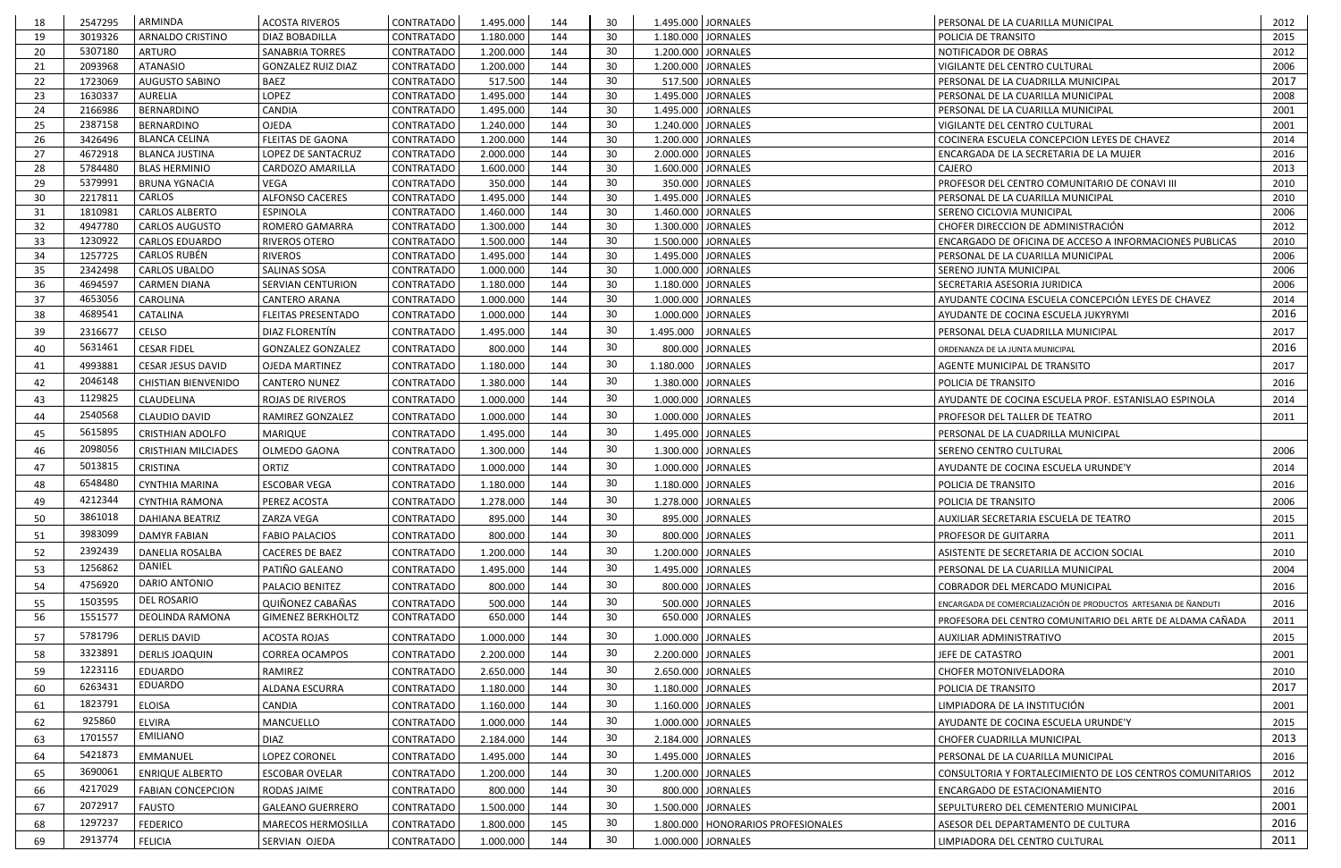| 3019326<br>30<br><b>ARNALDO CRISTINO</b><br>DIAZ BOBADILLA<br><b>CONTRATADO</b><br>1.180.000<br>144<br>1.180.000 JORNALES<br>2015<br>19<br>POLICIA DE TRANSITO<br>30<br>5307180<br>144<br>1.200.000 JORNALES<br>2012<br>20<br><b>ARTURO</b><br><b>SANABRIA TORRES</b><br><b>CONTRATADO</b><br>1.200.000<br>NOTIFICADOR DE OBRAS<br>30<br>2093968<br><b>ATANASIO</b><br>144<br>1.200.000 JORNALES<br>2006<br>21<br><b>GONZALEZ RUIZ DIAZ</b><br><b>CONTRATADO</b><br>1.200.000<br>VIGILANTE DEL CENTRO CULTURAL<br>30<br>2017<br>1723069<br><b>BAEZ</b><br><b>CONTRATADO</b><br>517.500 JORNALES<br>22<br><b>AUGUSTO SABINO</b><br>517.500<br>144<br>PERSONAL DE LA CUADRILLA MUNICIPAL<br>30<br>1630337<br><b>AURELIA</b><br>LOPEZ<br><b>CONTRATADO</b><br>1.495.000<br>144<br>1.495.000 JORNALES<br>23<br>2008<br>PERSONAL DE LA CUARILLA MUNICIPAL<br>144<br><b>BERNARDINO</b><br>CANDIA<br><b>CONTRATADO</b><br>1.495.000<br>30<br>1.495.000 JORNALES<br>24<br>2166986<br>2001<br>PERSONAL DE LA CUARILLA MUNICIPAL<br>30<br>2387158<br>144<br>1.240.000 JORNALES<br>25<br>BERNARDINO<br>OJEDA<br>CONTRATADO<br>1.240.000<br>2001<br>VIGILANTE DEL CENTRO CULTURAL<br><b>CONTRATADO</b><br>1.200.000 JORNALES<br>26<br>3426496<br><b>BLANCA CELINA</b><br><b>FLEITAS DE GAONA</b><br>1.200.000<br>144<br>30<br>COCINERA ESCUELA CONCEPCION LEYES DE CHAVEZ<br>2014<br>27<br>4672918<br><b>BLANCA JUSTINA</b><br>LOPEZ DE SANTACRUZ<br><b>CONTRATADO</b><br>2.000.000<br>144<br>30<br>2.000.000 JORNALES<br>2016<br>ENCARGADA DE LA SECRETARIA DE LA MUJER<br>30<br>5784480<br><b>CONTRATADO</b><br>1.600.000<br>144<br>1.600.000 JORNALES<br>28<br><b>BLAS HERMINIO</b><br>CARDOZO AMARILLA<br><b>CAJERO</b><br>2013<br>350.000<br>30<br>350.000 JORNALES<br>29<br>5379991<br><b>BRUNA YGNACIA</b><br><b>CONTRATADO</b><br>144<br>PROFESOR DEL CENTRO COMUNITARIO DE CONAVI III<br>2010<br>VEGA<br><b>CARLOS</b><br>2217811<br><b>ALFONSO CACERES</b><br><b>CONTRATADO</b><br>1.495.000<br>144<br>30<br>1.495.000 JORNALES<br>30<br>2010<br>PERSONAL DE LA CUARILLA MUNICIPAL<br>1810981<br><b>CONTRATADO</b><br>1.460.000<br>144<br>30<br>1.460.000 JORNALES<br>2006<br><b>CARLOS ALBERTO</b><br><b>ESPINOLA</b><br>31<br>SERENO CICLOVIA MUNICIPAL<br>4947780<br>30<br>32<br><b>CARLOS AUGUSTO</b><br><b>ROMERO GAMARRA</b><br>CONTRATADO<br>1.300.000<br>144<br>1.300.000 JORNALES<br>CHOFER DIRECCION DE ADMINISTRACIÓN<br>2012<br>30<br>1230922<br>1.500.000<br>144<br>1.500.000 JORNALES<br>33<br><b>CARLOS EDUARDO</b><br>RIVEROS OTERO<br><b>CONTRATADO</b><br>ENCARGADO DE OFICINA DE ACCESO A INFORMACIONES PUBLICAS<br>2010<br><b>CARLOS RUBÉN</b><br>30<br>1257725<br>34<br><b>RIVEROS</b><br>1.495.000<br>144<br>1.495.000 JORNALES<br>2006<br>CONTRATADO<br>PERSONAL DE LA CUARILLA MUNICIPAL<br>30<br>2342498<br>SALINAS SOSA<br><b>CONTRATADO</b><br>1.000.000<br>144<br>1.000.000 JORNALES<br>2006<br>35<br><b>CARLOS UBALDO</b><br>SERENO JUNTA MUNICIPAL<br>30<br>4694597<br>1.180.000 JORNALES<br>36<br><b>CARMEN DIANA</b><br><b>SERVIAN CENTURION</b><br><b>CONTRATADO</b><br>1.180.000<br>144<br>2006<br>SECRETARIA ASESORIA JURIDICA<br>30<br>4653056<br>144<br>1.000.000 JORNALES<br>AYUDANTE COCINA ESCUELA CONCEPCIÓN LEYES DE CHAVEZ<br>37<br><b>CAROLINA</b><br><b>CANTERO ARANA</b><br>CONTRATADO<br>1.000.000<br>2014<br>30<br>2016<br>4689541<br><b>CATALINA</b><br>1.000.000<br>144<br>1.000.000 JORNALES<br>38<br><b>FLEITAS PRESENTADO</b><br><b>CONTRATADO</b><br>AYUDANTE DE COCINA ESCUELA JUKYRYMI<br>30<br><b>CELSO</b><br>2316677<br>DIAZ FLORENTÍN<br>144<br><b>JORNALES</b><br>2017<br>39<br><b>CONTRATADO</b><br>1.495.000<br>1.495.000<br>PERSONAL DELA CUADRILLA MUNICIPAL<br>30<br>5631461<br>2016<br><b>CESAR FIDEL</b><br>800.000<br>800.000 JORNALES<br>40<br><b>GONZALEZ GONZALEZ</b><br><b>CONTRATADO</b><br>144<br>ORDENANZA DE LA JUNTA MUNICIPAL<br>30<br>144<br>4993881<br><b>JORNALES</b><br>2017<br><b>CESAR JESUS DAVID</b><br>OJEDA MARTINEZ<br><b>CONTRATADO</b><br>1.180.000<br>1.180.000<br>41<br>AGENTE MUNICIPAL DE TRANSITO<br>30<br>2046148<br>1.380.000<br><b>CHISTIAN BIENVENIDO</b><br><b>CANTERO NUNEZ</b><br><b>CONTRATADO</b><br>144<br>1.380.000 JORNALES<br>2016<br>42<br>POLICIA DE TRANSITO<br>30<br>1129825<br>144<br>43<br><b>CLAUDELINA</b><br>1.000.000<br>1.000.000 JORNALES<br>2014<br>ROJAS DE RIVEROS<br>CONTRATADO<br>AYUDANTE DE COCINA ESCUELA PROF. ESTANISLAO ESPINOLA<br>2540568<br>30<br><b>CLAUDIO DAVID</b><br>RAMIREZ GONZALEZ<br>1.000.000<br>144<br>1.000.000 JORNALES<br>44<br>CONTRATADO<br><b>PROFESOR DEL TALLER DE TEATRO</b><br>2011<br>30<br>5615895<br><b>CRISTHIAN ADOLFO</b><br>1.495.000<br>144<br>1.495.000 JORNALES<br>45<br><b>MARIQUE</b><br><b>CONTRATADO</b><br>PERSONAL DE LA CUADRILLA MUNICIPAL<br>30<br>2098056<br>144<br>46<br><b>CRISTHIAN MILCIADES</b><br><b>OLMEDO GAONA</b><br>CONTRATADO<br>1.300.000<br>1.300.000 JORNALES<br>2006<br>SERENO CENTRO CULTURAL<br>5013815<br>30<br><b>CRISTINA</b><br>ORTIZ<br>1.000.000<br>1.000.000 JORNALES<br><b>CONTRATADO</b><br>144<br>AYUDANTE DE COCINA ESCUELA URUNDE'Y<br>2014<br>47<br>6548480<br>30<br><b>ESCOBAR VEGA</b><br>144<br>1.180.000 JORNALES<br>48<br>CYNTHIA MARINA<br>CONTRATADO<br>1.180.000<br>POLICIA DE TRANSITO<br>2016<br>30<br>4212344<br><b>CYNTHIA RAMONA</b><br><b>CONTRATADO</b><br>1.278.000<br>1.278.000 JORNALES<br>PEREZ ACOSTA<br>144<br>2006<br>49<br>POLICIA DE TRANSITO<br>30<br>3861018<br>50<br><b>DAHIANA BEATRIZ</b><br>ZARZA VEGA<br><b>CONTRATADO</b><br>895.000<br>144<br>895.000 JORNALES<br>AUXILIAR SECRETARIA ESCUELA DE TEATRO<br>2015<br>3983099<br>30<br><b>FABIO PALACIOS</b><br>CONTRATADO<br>800.000<br>800.000 JORNALES<br>PROFESOR DE GUITARRA<br>51<br><b>DAMYR FABIAN</b><br>144<br>2011<br>30<br>2392439<br><b>DANELIA ROSALBA</b><br>CACERES DE BAEZ<br>CONTRATADO<br>1.200.000<br>144<br>1.200.000 JORNALES<br>2010<br>-52<br>ASISTENTE DE SECRETARIA DE ACCION SOCIAL<br>DANIEL<br>30<br>1256862<br>PATIÑO GALEANO<br>144<br>1.495.000 JORNALES<br>CONTRATADO<br>1.495.000<br>2004<br>-53<br>PERSONAL DE LA CUARILLA MUNICIPAL<br><b>DARIO ANTONIO</b><br>30<br>4756920<br>PALACIO BENITEZ<br>800.000<br>800.000 JORNALES<br>2016<br>54<br>CONTRATADO<br>144<br>COBRADOR DEL MERCADO MUNICIPAL<br>DEL ROSARIO<br>30<br>1503595<br>QUIÑONEZ CABAÑAS<br>144<br>CONTRATADO<br>500.000 JORNALES<br>2016<br>55<br>500.000<br>ENCARGADA DE COMERCIALIZACIÓN DE PRODUCTOS ARTESANIA DE ÑANDUTI<br>56<br>1551577<br>DEOLINDA RAMONA<br><b>GIMENEZ BERKHOLTZ</b><br>CONTRATADO<br>650.000<br>144<br>30<br>650.000 JORNALES<br>2011<br>PROFESORA DEL CENTRO COMUNITARIO DEL ARTE DE ALDAMA CAÑADA<br>30<br>5781796<br><b>DERLIS DAVID</b><br>1.000.000 JORNALES<br>57<br><b>ACOSTA ROJAS</b><br>CONTRATADO<br>1.000.000<br>144<br>2015<br>AUXILIAR ADMINISTRATIVO<br>3323891<br>30<br>58<br><b>DERLIS JOAQUIN</b><br>CONTRATADO<br>2.200.000 JORNALES<br>JEFE DE CATASTRO<br><b>CORREA OCAMPOS</b><br>2.200.000<br>144<br>2001<br>30<br>1223116<br><b>EDUARDO</b><br>RAMIREZ<br>CONTRATADO<br>2.650.000<br>144<br>2.650.000 JORNALES<br><b>CHOFER MOTONIVELADORA</b><br>2010<br>59<br>EDUARDO<br>30<br>6263431<br>2017<br>60<br>ALDANA ESCURRA<br>144<br>CONTRATADO<br>1.180.000<br>1.180.000 JORNALES<br>POLICIA DE TRANSITO<br>1823791<br>30<br><b>ELOISA</b><br>CANDIA<br>1.160.000 JORNALES<br>LIMPIADORA DE LA INSTITUCIÓN<br>CONTRATADO<br>1.160.000<br>144<br>2001<br>61<br>925860<br>30<br><b>ELVIRA</b><br>MANCUELLO<br>CONTRATADO<br>1.000.000<br>144<br>1.000.000 JORNALES<br>AYUDANTE DE COCINA ESCUELA URUNDE'Y<br>2015<br>62<br><b>EMILIANO</b><br>30<br>1701557<br>2013<br><b>DIAZ</b><br>144<br>2.184.000 JORNALES<br>63<br>CONTRATADO<br>2.184.000<br>CHOFER CUADRILLA MUNICIPAL<br>5421873<br>30<br>EMMANUEL<br>LOPEZ CORONEL<br>2016<br>64<br>CONTRATADO<br>1.495.000<br>144<br>1.495.000 JORNALES<br>PERSONAL DE LA CUARILLA MUNICIPAL<br>30<br>3690061<br><b>ENRIQUE ALBERTO</b><br>144<br>1.200.000 JORNALES<br>2012<br>65<br><b>ESCOBAR OVELAR</b><br>CONTRATADO<br>1.200.000<br>CONSULTORIA Y FORTALECIMIENTO DE LOS CENTROS COMUNITARIOS<br>30<br>4217029<br>800.000 JORNALES<br>66<br><b>FABIAN CONCEPCION</b><br>RODAS JAIME<br>CONTRATADO<br>800.000<br>144<br>2016<br>ENCARGADO DE ESTACIONAMIENTO<br>30<br>2072917<br>2001<br><b>FAUSTO</b><br>144<br>67<br><b>GALEANO GUERRERO</b><br>1.500.000 JORNALES<br>CONTRATADO<br>1.500.000<br>SEPULTURERO DEL CEMENTERIO MUNICIPAL<br>1297237<br>30<br>2016<br><b>FEDERICO</b><br>145<br>68<br><b>MARECOS HERMOSILLA</b><br><b>CONTRATADO</b><br>1.800.000<br>1.800.000   HONORARIOS PROFESIONALES<br>ASESOR DEL DEPARTAMENTO DE CULTURA<br>30<br>2913774<br>2011<br><b>FELICIA</b><br>SERVIAN OJEDA<br>CONTRATADO<br>1.000.000<br>144<br>1.000.000 JORNALES<br>69<br>LIMPIADORA DEL CENTRO CULTURAL | 18 | 2547295 | ARMINDA | <b>ACOSTA RIVEROS</b> | <b>CONTRATADO</b> | 1.495.000 | 144 | 30 | 1.495.000 JORNALES | PERSONAL DE LA CUARILLA MUNICIPAL | 2012 |
|---------------------------------------------------------------------------------------------------------------------------------------------------------------------------------------------------------------------------------------------------------------------------------------------------------------------------------------------------------------------------------------------------------------------------------------------------------------------------------------------------------------------------------------------------------------------------------------------------------------------------------------------------------------------------------------------------------------------------------------------------------------------------------------------------------------------------------------------------------------------------------------------------------------------------------------------------------------------------------------------------------------------------------------------------------------------------------------------------------------------------------------------------------------------------------------------------------------------------------------------------------------------------------------------------------------------------------------------------------------------------------------------------------------------------------------------------------------------------------------------------------------------------------------------------------------------------------------------------------------------------------------------------------------------------------------------------------------------------------------------------------------------------------------------------------------------------------------------------------------------------------------------------------------------------------------------------------------------------------------------------------------------------------------------------------------------------------------------------------------------------------------------------------------------------------------------------------------------------------------------------------------------------------------------------------------------------------------------------------------------------------------------------------------------------------------------------------------------------------------------------------------------------------------------------------------------------------------------------------------------------------------------------------------------------------------------------------------------------------------------------------------------------------------------------------------------------------------------------------------------------------------------------------------------------------------------------------------------------------------------------------------------------------------------------------------------------------------------------------------------------------------------------------------------------------------------------------------------------------------------------------------------------------------------------------------------------------------------------------------------------------------------------------------------------------------------------------------------------------------------------------------------------------------------------------------------------------------------------------------------------------------------------------------------------------------------------------------------------------------------------------------------------------------------------------------------------------------------------------------------------------------------------------------------------------------------------------------------------------------------------------------------------------------------------------------------------------------------------------------------------------------------------------------------------------------------------------------------------------------------------------------------------------------------------------------------------------------------------------------------------------------------------------------------------------------------------------------------------------------------------------------------------------------------------------------------------------------------------------------------------------------------------------------------------------------------------------------------------------------------------------------------------------------------------------------------------------------------------------------------------------------------------------------------------------------------------------------------------------------------------------------------------------------------------------------------------------------------------------------------------------------------------------------------------------------------------------------------------------------------------------------------------------------------------------------------------------------------------------------------------------------------------------------------------------------------------------------------------------------------------------------------------------------------------------------------------------------------------------------------------------------------------------------------------------------------------------------------------------------------------------------------------------------------------------------------------------------------------------------------------------------------------------------------------------------------------------------------------------------------------------------------------------------------------------------------------------------------------------------------------------------------------------------------------------------------------------------------------------------------------------------------------------------------------------------------------------------------------------------------------------------------------------------------------------------------------------------------------------------------------------------------------------------------------------------------------------------------------------------------------------------------------------------------------------------------------------------------------------------------------------------------------------------------------------------------------------------------------------------------------------------------------------------------------------------------------------------------------------------------------------------------------------------------------------------------------------------------------------------------------------------------------------------------------------------------------------------------------------------------------------------------------------------------------------------------------------------------------------------------------------------------------------------------------------------------------------------------------------------------------------------------------------------------------------------------------------------------------------------------------------------------------------------------------------------------------------------------------------------------------------------------------------------------------------------------------------------------------------------------------------------------------------------------------------------------------------------------------------------------------------------------------------------------------------------------------------------------------------------------------------------------------------------------------------------------------------------------------------------------------------------------------------------------------------------------------------------------------------------------------------------------------------------------------------------------------------------------------------------------------------------------------------------------------------------------------------------------------------------------------------------------------------------------------------------------------------------------------------------------------------------------------------------------------------------------------------------------------------------------------------------------------------|----|---------|---------|-----------------------|-------------------|-----------|-----|----|--------------------|-----------------------------------|------|
|                                                                                                                                                                                                                                                                                                                                                                                                                                                                                                                                                                                                                                                                                                                                                                                                                                                                                                                                                                                                                                                                                                                                                                                                                                                                                                                                                                                                                                                                                                                                                                                                                                                                                                                                                                                                                                                                                                                                                                                                                                                                                                                                                                                                                                                                                                                                                                                                                                                                                                                                                                                                                                                                                                                                                                                                                                                                                                                                                                                                                                                                                                                                                                                                                                                                                                                                                                                                                                                                                                                                                                                                                                                                                                                                                                                                                                                                                                                                                                                                                                                                                                                                                                                                                                                                                                                                                                                                                                                                                                                                                                                                                                                                                                                                                                                                                                                                                                                                                                                                                                                                                                                                                                                                                                                                                                                                                                                                                                                                                                                                                                                                                                                                                                                                                                                                                                                                                                                                                                                                                                                                                                                                                                                                                                                                                                                                                                                                                                                                                                                                                                                                                                                                                                                                                                                                                                                                                                                                                                                                                                                                                                                                                                                                                                                                                                                                                                                                                                                                                                                                                                                                                                                                                                                                                                                                                                                                                                                                                                                                                                                                                                                                                                                                                                                                                                                                                                                                                                                                                                                                                                                                                                                                                                                                                                                                                                                                                                         |    |         |         |                       |                   |           |     |    |                    |                                   |      |
|                                                                                                                                                                                                                                                                                                                                                                                                                                                                                                                                                                                                                                                                                                                                                                                                                                                                                                                                                                                                                                                                                                                                                                                                                                                                                                                                                                                                                                                                                                                                                                                                                                                                                                                                                                                                                                                                                                                                                                                                                                                                                                                                                                                                                                                                                                                                                                                                                                                                                                                                                                                                                                                                                                                                                                                                                                                                                                                                                                                                                                                                                                                                                                                                                                                                                                                                                                                                                                                                                                                                                                                                                                                                                                                                                                                                                                                                                                                                                                                                                                                                                                                                                                                                                                                                                                                                                                                                                                                                                                                                                                                                                                                                                                                                                                                                                                                                                                                                                                                                                                                                                                                                                                                                                                                                                                                                                                                                                                                                                                                                                                                                                                                                                                                                                                                                                                                                                                                                                                                                                                                                                                                                                                                                                                                                                                                                                                                                                                                                                                                                                                                                                                                                                                                                                                                                                                                                                                                                                                                                                                                                                                                                                                                                                                                                                                                                                                                                                                                                                                                                                                                                                                                                                                                                                                                                                                                                                                                                                                                                                                                                                                                                                                                                                                                                                                                                                                                                                                                                                                                                                                                                                                                                                                                                                                                                                                                                                                         |    |         |         |                       |                   |           |     |    |                    |                                   |      |
|                                                                                                                                                                                                                                                                                                                                                                                                                                                                                                                                                                                                                                                                                                                                                                                                                                                                                                                                                                                                                                                                                                                                                                                                                                                                                                                                                                                                                                                                                                                                                                                                                                                                                                                                                                                                                                                                                                                                                                                                                                                                                                                                                                                                                                                                                                                                                                                                                                                                                                                                                                                                                                                                                                                                                                                                                                                                                                                                                                                                                                                                                                                                                                                                                                                                                                                                                                                                                                                                                                                                                                                                                                                                                                                                                                                                                                                                                                                                                                                                                                                                                                                                                                                                                                                                                                                                                                                                                                                                                                                                                                                                                                                                                                                                                                                                                                                                                                                                                                                                                                                                                                                                                                                                                                                                                                                                                                                                                                                                                                                                                                                                                                                                                                                                                                                                                                                                                                                                                                                                                                                                                                                                                                                                                                                                                                                                                                                                                                                                                                                                                                                                                                                                                                                                                                                                                                                                                                                                                                                                                                                                                                                                                                                                                                                                                                                                                                                                                                                                                                                                                                                                                                                                                                                                                                                                                                                                                                                                                                                                                                                                                                                                                                                                                                                                                                                                                                                                                                                                                                                                                                                                                                                                                                                                                                                                                                                                                                         |    |         |         |                       |                   |           |     |    |                    |                                   |      |
|                                                                                                                                                                                                                                                                                                                                                                                                                                                                                                                                                                                                                                                                                                                                                                                                                                                                                                                                                                                                                                                                                                                                                                                                                                                                                                                                                                                                                                                                                                                                                                                                                                                                                                                                                                                                                                                                                                                                                                                                                                                                                                                                                                                                                                                                                                                                                                                                                                                                                                                                                                                                                                                                                                                                                                                                                                                                                                                                                                                                                                                                                                                                                                                                                                                                                                                                                                                                                                                                                                                                                                                                                                                                                                                                                                                                                                                                                                                                                                                                                                                                                                                                                                                                                                                                                                                                                                                                                                                                                                                                                                                                                                                                                                                                                                                                                                                                                                                                                                                                                                                                                                                                                                                                                                                                                                                                                                                                                                                                                                                                                                                                                                                                                                                                                                                                                                                                                                                                                                                                                                                                                                                                                                                                                                                                                                                                                                                                                                                                                                                                                                                                                                                                                                                                                                                                                                                                                                                                                                                                                                                                                                                                                                                                                                                                                                                                                                                                                                                                                                                                                                                                                                                                                                                                                                                                                                                                                                                                                                                                                                                                                                                                                                                                                                                                                                                                                                                                                                                                                                                                                                                                                                                                                                                                                                                                                                                                                                         |    |         |         |                       |                   |           |     |    |                    |                                   |      |
|                                                                                                                                                                                                                                                                                                                                                                                                                                                                                                                                                                                                                                                                                                                                                                                                                                                                                                                                                                                                                                                                                                                                                                                                                                                                                                                                                                                                                                                                                                                                                                                                                                                                                                                                                                                                                                                                                                                                                                                                                                                                                                                                                                                                                                                                                                                                                                                                                                                                                                                                                                                                                                                                                                                                                                                                                                                                                                                                                                                                                                                                                                                                                                                                                                                                                                                                                                                                                                                                                                                                                                                                                                                                                                                                                                                                                                                                                                                                                                                                                                                                                                                                                                                                                                                                                                                                                                                                                                                                                                                                                                                                                                                                                                                                                                                                                                                                                                                                                                                                                                                                                                                                                                                                                                                                                                                                                                                                                                                                                                                                                                                                                                                                                                                                                                                                                                                                                                                                                                                                                                                                                                                                                                                                                                                                                                                                                                                                                                                                                                                                                                                                                                                                                                                                                                                                                                                                                                                                                                                                                                                                                                                                                                                                                                                                                                                                                                                                                                                                                                                                                                                                                                                                                                                                                                                                                                                                                                                                                                                                                                                                                                                                                                                                                                                                                                                                                                                                                                                                                                                                                                                                                                                                                                                                                                                                                                                                                                         |    |         |         |                       |                   |           |     |    |                    |                                   |      |
|                                                                                                                                                                                                                                                                                                                                                                                                                                                                                                                                                                                                                                                                                                                                                                                                                                                                                                                                                                                                                                                                                                                                                                                                                                                                                                                                                                                                                                                                                                                                                                                                                                                                                                                                                                                                                                                                                                                                                                                                                                                                                                                                                                                                                                                                                                                                                                                                                                                                                                                                                                                                                                                                                                                                                                                                                                                                                                                                                                                                                                                                                                                                                                                                                                                                                                                                                                                                                                                                                                                                                                                                                                                                                                                                                                                                                                                                                                                                                                                                                                                                                                                                                                                                                                                                                                                                                                                                                                                                                                                                                                                                                                                                                                                                                                                                                                                                                                                                                                                                                                                                                                                                                                                                                                                                                                                                                                                                                                                                                                                                                                                                                                                                                                                                                                                                                                                                                                                                                                                                                                                                                                                                                                                                                                                                                                                                                                                                                                                                                                                                                                                                                                                                                                                                                                                                                                                                                                                                                                                                                                                                                                                                                                                                                                                                                                                                                                                                                                                                                                                                                                                                                                                                                                                                                                                                                                                                                                                                                                                                                                                                                                                                                                                                                                                                                                                                                                                                                                                                                                                                                                                                                                                                                                                                                                                                                                                                                                         |    |         |         |                       |                   |           |     |    |                    |                                   |      |
|                                                                                                                                                                                                                                                                                                                                                                                                                                                                                                                                                                                                                                                                                                                                                                                                                                                                                                                                                                                                                                                                                                                                                                                                                                                                                                                                                                                                                                                                                                                                                                                                                                                                                                                                                                                                                                                                                                                                                                                                                                                                                                                                                                                                                                                                                                                                                                                                                                                                                                                                                                                                                                                                                                                                                                                                                                                                                                                                                                                                                                                                                                                                                                                                                                                                                                                                                                                                                                                                                                                                                                                                                                                                                                                                                                                                                                                                                                                                                                                                                                                                                                                                                                                                                                                                                                                                                                                                                                                                                                                                                                                                                                                                                                                                                                                                                                                                                                                                                                                                                                                                                                                                                                                                                                                                                                                                                                                                                                                                                                                                                                                                                                                                                                                                                                                                                                                                                                                                                                                                                                                                                                                                                                                                                                                                                                                                                                                                                                                                                                                                                                                                                                                                                                                                                                                                                                                                                                                                                                                                                                                                                                                                                                                                                                                                                                                                                                                                                                                                                                                                                                                                                                                                                                                                                                                                                                                                                                                                                                                                                                                                                                                                                                                                                                                                                                                                                                                                                                                                                                                                                                                                                                                                                                                                                                                                                                                                                                         |    |         |         |                       |                   |           |     |    |                    |                                   |      |
|                                                                                                                                                                                                                                                                                                                                                                                                                                                                                                                                                                                                                                                                                                                                                                                                                                                                                                                                                                                                                                                                                                                                                                                                                                                                                                                                                                                                                                                                                                                                                                                                                                                                                                                                                                                                                                                                                                                                                                                                                                                                                                                                                                                                                                                                                                                                                                                                                                                                                                                                                                                                                                                                                                                                                                                                                                                                                                                                                                                                                                                                                                                                                                                                                                                                                                                                                                                                                                                                                                                                                                                                                                                                                                                                                                                                                                                                                                                                                                                                                                                                                                                                                                                                                                                                                                                                                                                                                                                                                                                                                                                                                                                                                                                                                                                                                                                                                                                                                                                                                                                                                                                                                                                                                                                                                                                                                                                                                                                                                                                                                                                                                                                                                                                                                                                                                                                                                                                                                                                                                                                                                                                                                                                                                                                                                                                                                                                                                                                                                                                                                                                                                                                                                                                                                                                                                                                                                                                                                                                                                                                                                                                                                                                                                                                                                                                                                                                                                                                                                                                                                                                                                                                                                                                                                                                                                                                                                                                                                                                                                                                                                                                                                                                                                                                                                                                                                                                                                                                                                                                                                                                                                                                                                                                                                                                                                                                                                                         |    |         |         |                       |                   |           |     |    |                    |                                   |      |
|                                                                                                                                                                                                                                                                                                                                                                                                                                                                                                                                                                                                                                                                                                                                                                                                                                                                                                                                                                                                                                                                                                                                                                                                                                                                                                                                                                                                                                                                                                                                                                                                                                                                                                                                                                                                                                                                                                                                                                                                                                                                                                                                                                                                                                                                                                                                                                                                                                                                                                                                                                                                                                                                                                                                                                                                                                                                                                                                                                                                                                                                                                                                                                                                                                                                                                                                                                                                                                                                                                                                                                                                                                                                                                                                                                                                                                                                                                                                                                                                                                                                                                                                                                                                                                                                                                                                                                                                                                                                                                                                                                                                                                                                                                                                                                                                                                                                                                                                                                                                                                                                                                                                                                                                                                                                                                                                                                                                                                                                                                                                                                                                                                                                                                                                                                                                                                                                                                                                                                                                                                                                                                                                                                                                                                                                                                                                                                                                                                                                                                                                                                                                                                                                                                                                                                                                                                                                                                                                                                                                                                                                                                                                                                                                                                                                                                                                                                                                                                                                                                                                                                                                                                                                                                                                                                                                                                                                                                                                                                                                                                                                                                                                                                                                                                                                                                                                                                                                                                                                                                                                                                                                                                                                                                                                                                                                                                                                                                         |    |         |         |                       |                   |           |     |    |                    |                                   |      |
|                                                                                                                                                                                                                                                                                                                                                                                                                                                                                                                                                                                                                                                                                                                                                                                                                                                                                                                                                                                                                                                                                                                                                                                                                                                                                                                                                                                                                                                                                                                                                                                                                                                                                                                                                                                                                                                                                                                                                                                                                                                                                                                                                                                                                                                                                                                                                                                                                                                                                                                                                                                                                                                                                                                                                                                                                                                                                                                                                                                                                                                                                                                                                                                                                                                                                                                                                                                                                                                                                                                                                                                                                                                                                                                                                                                                                                                                                                                                                                                                                                                                                                                                                                                                                                                                                                                                                                                                                                                                                                                                                                                                                                                                                                                                                                                                                                                                                                                                                                                                                                                                                                                                                                                                                                                                                                                                                                                                                                                                                                                                                                                                                                                                                                                                                                                                                                                                                                                                                                                                                                                                                                                                                                                                                                                                                                                                                                                                                                                                                                                                                                                                                                                                                                                                                                                                                                                                                                                                                                                                                                                                                                                                                                                                                                                                                                                                                                                                                                                                                                                                                                                                                                                                                                                                                                                                                                                                                                                                                                                                                                                                                                                                                                                                                                                                                                                                                                                                                                                                                                                                                                                                                                                                                                                                                                                                                                                                                                         |    |         |         |                       |                   |           |     |    |                    |                                   |      |
|                                                                                                                                                                                                                                                                                                                                                                                                                                                                                                                                                                                                                                                                                                                                                                                                                                                                                                                                                                                                                                                                                                                                                                                                                                                                                                                                                                                                                                                                                                                                                                                                                                                                                                                                                                                                                                                                                                                                                                                                                                                                                                                                                                                                                                                                                                                                                                                                                                                                                                                                                                                                                                                                                                                                                                                                                                                                                                                                                                                                                                                                                                                                                                                                                                                                                                                                                                                                                                                                                                                                                                                                                                                                                                                                                                                                                                                                                                                                                                                                                                                                                                                                                                                                                                                                                                                                                                                                                                                                                                                                                                                                                                                                                                                                                                                                                                                                                                                                                                                                                                                                                                                                                                                                                                                                                                                                                                                                                                                                                                                                                                                                                                                                                                                                                                                                                                                                                                                                                                                                                                                                                                                                                                                                                                                                                                                                                                                                                                                                                                                                                                                                                                                                                                                                                                                                                                                                                                                                                                                                                                                                                                                                                                                                                                                                                                                                                                                                                                                                                                                                                                                                                                                                                                                                                                                                                                                                                                                                                                                                                                                                                                                                                                                                                                                                                                                                                                                                                                                                                                                                                                                                                                                                                                                                                                                                                                                                                                         |    |         |         |                       |                   |           |     |    |                    |                                   |      |
|                                                                                                                                                                                                                                                                                                                                                                                                                                                                                                                                                                                                                                                                                                                                                                                                                                                                                                                                                                                                                                                                                                                                                                                                                                                                                                                                                                                                                                                                                                                                                                                                                                                                                                                                                                                                                                                                                                                                                                                                                                                                                                                                                                                                                                                                                                                                                                                                                                                                                                                                                                                                                                                                                                                                                                                                                                                                                                                                                                                                                                                                                                                                                                                                                                                                                                                                                                                                                                                                                                                                                                                                                                                                                                                                                                                                                                                                                                                                                                                                                                                                                                                                                                                                                                                                                                                                                                                                                                                                                                                                                                                                                                                                                                                                                                                                                                                                                                                                                                                                                                                                                                                                                                                                                                                                                                                                                                                                                                                                                                                                                                                                                                                                                                                                                                                                                                                                                                                                                                                                                                                                                                                                                                                                                                                                                                                                                                                                                                                                                                                                                                                                                                                                                                                                                                                                                                                                                                                                                                                                                                                                                                                                                                                                                                                                                                                                                                                                                                                                                                                                                                                                                                                                                                                                                                                                                                                                                                                                                                                                                                                                                                                                                                                                                                                                                                                                                                                                                                                                                                                                                                                                                                                                                                                                                                                                                                                                                                         |    |         |         |                       |                   |           |     |    |                    |                                   |      |
|                                                                                                                                                                                                                                                                                                                                                                                                                                                                                                                                                                                                                                                                                                                                                                                                                                                                                                                                                                                                                                                                                                                                                                                                                                                                                                                                                                                                                                                                                                                                                                                                                                                                                                                                                                                                                                                                                                                                                                                                                                                                                                                                                                                                                                                                                                                                                                                                                                                                                                                                                                                                                                                                                                                                                                                                                                                                                                                                                                                                                                                                                                                                                                                                                                                                                                                                                                                                                                                                                                                                                                                                                                                                                                                                                                                                                                                                                                                                                                                                                                                                                                                                                                                                                                                                                                                                                                                                                                                                                                                                                                                                                                                                                                                                                                                                                                                                                                                                                                                                                                                                                                                                                                                                                                                                                                                                                                                                                                                                                                                                                                                                                                                                                                                                                                                                                                                                                                                                                                                                                                                                                                                                                                                                                                                                                                                                                                                                                                                                                                                                                                                                                                                                                                                                                                                                                                                                                                                                                                                                                                                                                                                                                                                                                                                                                                                                                                                                                                                                                                                                                                                                                                                                                                                                                                                                                                                                                                                                                                                                                                                                                                                                                                                                                                                                                                                                                                                                                                                                                                                                                                                                                                                                                                                                                                                                                                                                                                         |    |         |         |                       |                   |           |     |    |                    |                                   |      |
|                                                                                                                                                                                                                                                                                                                                                                                                                                                                                                                                                                                                                                                                                                                                                                                                                                                                                                                                                                                                                                                                                                                                                                                                                                                                                                                                                                                                                                                                                                                                                                                                                                                                                                                                                                                                                                                                                                                                                                                                                                                                                                                                                                                                                                                                                                                                                                                                                                                                                                                                                                                                                                                                                                                                                                                                                                                                                                                                                                                                                                                                                                                                                                                                                                                                                                                                                                                                                                                                                                                                                                                                                                                                                                                                                                                                                                                                                                                                                                                                                                                                                                                                                                                                                                                                                                                                                                                                                                                                                                                                                                                                                                                                                                                                                                                                                                                                                                                                                                                                                                                                                                                                                                                                                                                                                                                                                                                                                                                                                                                                                                                                                                                                                                                                                                                                                                                                                                                                                                                                                                                                                                                                                                                                                                                                                                                                                                                                                                                                                                                                                                                                                                                                                                                                                                                                                                                                                                                                                                                                                                                                                                                                                                                                                                                                                                                                                                                                                                                                                                                                                                                                                                                                                                                                                                                                                                                                                                                                                                                                                                                                                                                                                                                                                                                                                                                                                                                                                                                                                                                                                                                                                                                                                                                                                                                                                                                                                                         |    |         |         |                       |                   |           |     |    |                    |                                   |      |
|                                                                                                                                                                                                                                                                                                                                                                                                                                                                                                                                                                                                                                                                                                                                                                                                                                                                                                                                                                                                                                                                                                                                                                                                                                                                                                                                                                                                                                                                                                                                                                                                                                                                                                                                                                                                                                                                                                                                                                                                                                                                                                                                                                                                                                                                                                                                                                                                                                                                                                                                                                                                                                                                                                                                                                                                                                                                                                                                                                                                                                                                                                                                                                                                                                                                                                                                                                                                                                                                                                                                                                                                                                                                                                                                                                                                                                                                                                                                                                                                                                                                                                                                                                                                                                                                                                                                                                                                                                                                                                                                                                                                                                                                                                                                                                                                                                                                                                                                                                                                                                                                                                                                                                                                                                                                                                                                                                                                                                                                                                                                                                                                                                                                                                                                                                                                                                                                                                                                                                                                                                                                                                                                                                                                                                                                                                                                                                                                                                                                                                                                                                                                                                                                                                                                                                                                                                                                                                                                                                                                                                                                                                                                                                                                                                                                                                                                                                                                                                                                                                                                                                                                                                                                                                                                                                                                                                                                                                                                                                                                                                                                                                                                                                                                                                                                                                                                                                                                                                                                                                                                                                                                                                                                                                                                                                                                                                                                                                         |    |         |         |                       |                   |           |     |    |                    |                                   |      |
|                                                                                                                                                                                                                                                                                                                                                                                                                                                                                                                                                                                                                                                                                                                                                                                                                                                                                                                                                                                                                                                                                                                                                                                                                                                                                                                                                                                                                                                                                                                                                                                                                                                                                                                                                                                                                                                                                                                                                                                                                                                                                                                                                                                                                                                                                                                                                                                                                                                                                                                                                                                                                                                                                                                                                                                                                                                                                                                                                                                                                                                                                                                                                                                                                                                                                                                                                                                                                                                                                                                                                                                                                                                                                                                                                                                                                                                                                                                                                                                                                                                                                                                                                                                                                                                                                                                                                                                                                                                                                                                                                                                                                                                                                                                                                                                                                                                                                                                                                                                                                                                                                                                                                                                                                                                                                                                                                                                                                                                                                                                                                                                                                                                                                                                                                                                                                                                                                                                                                                                                                                                                                                                                                                                                                                                                                                                                                                                                                                                                                                                                                                                                                                                                                                                                                                                                                                                                                                                                                                                                                                                                                                                                                                                                                                                                                                                                                                                                                                                                                                                                                                                                                                                                                                                                                                                                                                                                                                                                                                                                                                                                                                                                                                                                                                                                                                                                                                                                                                                                                                                                                                                                                                                                                                                                                                                                                                                                                                         |    |         |         |                       |                   |           |     |    |                    |                                   |      |
|                                                                                                                                                                                                                                                                                                                                                                                                                                                                                                                                                                                                                                                                                                                                                                                                                                                                                                                                                                                                                                                                                                                                                                                                                                                                                                                                                                                                                                                                                                                                                                                                                                                                                                                                                                                                                                                                                                                                                                                                                                                                                                                                                                                                                                                                                                                                                                                                                                                                                                                                                                                                                                                                                                                                                                                                                                                                                                                                                                                                                                                                                                                                                                                                                                                                                                                                                                                                                                                                                                                                                                                                                                                                                                                                                                                                                                                                                                                                                                                                                                                                                                                                                                                                                                                                                                                                                                                                                                                                                                                                                                                                                                                                                                                                                                                                                                                                                                                                                                                                                                                                                                                                                                                                                                                                                                                                                                                                                                                                                                                                                                                                                                                                                                                                                                                                                                                                                                                                                                                                                                                                                                                                                                                                                                                                                                                                                                                                                                                                                                                                                                                                                                                                                                                                                                                                                                                                                                                                                                                                                                                                                                                                                                                                                                                                                                                                                                                                                                                                                                                                                                                                                                                                                                                                                                                                                                                                                                                                                                                                                                                                                                                                                                                                                                                                                                                                                                                                                                                                                                                                                                                                                                                                                                                                                                                                                                                                                                         |    |         |         |                       |                   |           |     |    |                    |                                   |      |
|                                                                                                                                                                                                                                                                                                                                                                                                                                                                                                                                                                                                                                                                                                                                                                                                                                                                                                                                                                                                                                                                                                                                                                                                                                                                                                                                                                                                                                                                                                                                                                                                                                                                                                                                                                                                                                                                                                                                                                                                                                                                                                                                                                                                                                                                                                                                                                                                                                                                                                                                                                                                                                                                                                                                                                                                                                                                                                                                                                                                                                                                                                                                                                                                                                                                                                                                                                                                                                                                                                                                                                                                                                                                                                                                                                                                                                                                                                                                                                                                                                                                                                                                                                                                                                                                                                                                                                                                                                                                                                                                                                                                                                                                                                                                                                                                                                                                                                                                                                                                                                                                                                                                                                                                                                                                                                                                                                                                                                                                                                                                                                                                                                                                                                                                                                                                                                                                                                                                                                                                                                                                                                                                                                                                                                                                                                                                                                                                                                                                                                                                                                                                                                                                                                                                                                                                                                                                                                                                                                                                                                                                                                                                                                                                                                                                                                                                                                                                                                                                                                                                                                                                                                                                                                                                                                                                                                                                                                                                                                                                                                                                                                                                                                                                                                                                                                                                                                                                                                                                                                                                                                                                                                                                                                                                                                                                                                                                                                         |    |         |         |                       |                   |           |     |    |                    |                                   |      |
|                                                                                                                                                                                                                                                                                                                                                                                                                                                                                                                                                                                                                                                                                                                                                                                                                                                                                                                                                                                                                                                                                                                                                                                                                                                                                                                                                                                                                                                                                                                                                                                                                                                                                                                                                                                                                                                                                                                                                                                                                                                                                                                                                                                                                                                                                                                                                                                                                                                                                                                                                                                                                                                                                                                                                                                                                                                                                                                                                                                                                                                                                                                                                                                                                                                                                                                                                                                                                                                                                                                                                                                                                                                                                                                                                                                                                                                                                                                                                                                                                                                                                                                                                                                                                                                                                                                                                                                                                                                                                                                                                                                                                                                                                                                                                                                                                                                                                                                                                                                                                                                                                                                                                                                                                                                                                                                                                                                                                                                                                                                                                                                                                                                                                                                                                                                                                                                                                                                                                                                                                                                                                                                                                                                                                                                                                                                                                                                                                                                                                                                                                                                                                                                                                                                                                                                                                                                                                                                                                                                                                                                                                                                                                                                                                                                                                                                                                                                                                                                                                                                                                                                                                                                                                                                                                                                                                                                                                                                                                                                                                                                                                                                                                                                                                                                                                                                                                                                                                                                                                                                                                                                                                                                                                                                                                                                                                                                                                                         |    |         |         |                       |                   |           |     |    |                    |                                   |      |
|                                                                                                                                                                                                                                                                                                                                                                                                                                                                                                                                                                                                                                                                                                                                                                                                                                                                                                                                                                                                                                                                                                                                                                                                                                                                                                                                                                                                                                                                                                                                                                                                                                                                                                                                                                                                                                                                                                                                                                                                                                                                                                                                                                                                                                                                                                                                                                                                                                                                                                                                                                                                                                                                                                                                                                                                                                                                                                                                                                                                                                                                                                                                                                                                                                                                                                                                                                                                                                                                                                                                                                                                                                                                                                                                                                                                                                                                                                                                                                                                                                                                                                                                                                                                                                                                                                                                                                                                                                                                                                                                                                                                                                                                                                                                                                                                                                                                                                                                                                                                                                                                                                                                                                                                                                                                                                                                                                                                                                                                                                                                                                                                                                                                                                                                                                                                                                                                                                                                                                                                                                                                                                                                                                                                                                                                                                                                                                                                                                                                                                                                                                                                                                                                                                                                                                                                                                                                                                                                                                                                                                                                                                                                                                                                                                                                                                                                                                                                                                                                                                                                                                                                                                                                                                                                                                                                                                                                                                                                                                                                                                                                                                                                                                                                                                                                                                                                                                                                                                                                                                                                                                                                                                                                                                                                                                                                                                                                                                         |    |         |         |                       |                   |           |     |    |                    |                                   |      |
|                                                                                                                                                                                                                                                                                                                                                                                                                                                                                                                                                                                                                                                                                                                                                                                                                                                                                                                                                                                                                                                                                                                                                                                                                                                                                                                                                                                                                                                                                                                                                                                                                                                                                                                                                                                                                                                                                                                                                                                                                                                                                                                                                                                                                                                                                                                                                                                                                                                                                                                                                                                                                                                                                                                                                                                                                                                                                                                                                                                                                                                                                                                                                                                                                                                                                                                                                                                                                                                                                                                                                                                                                                                                                                                                                                                                                                                                                                                                                                                                                                                                                                                                                                                                                                                                                                                                                                                                                                                                                                                                                                                                                                                                                                                                                                                                                                                                                                                                                                                                                                                                                                                                                                                                                                                                                                                                                                                                                                                                                                                                                                                                                                                                                                                                                                                                                                                                                                                                                                                                                                                                                                                                                                                                                                                                                                                                                                                                                                                                                                                                                                                                                                                                                                                                                                                                                                                                                                                                                                                                                                                                                                                                                                                                                                                                                                                                                                                                                                                                                                                                                                                                                                                                                                                                                                                                                                                                                                                                                                                                                                                                                                                                                                                                                                                                                                                                                                                                                                                                                                                                                                                                                                                                                                                                                                                                                                                                                                         |    |         |         |                       |                   |           |     |    |                    |                                   |      |
|                                                                                                                                                                                                                                                                                                                                                                                                                                                                                                                                                                                                                                                                                                                                                                                                                                                                                                                                                                                                                                                                                                                                                                                                                                                                                                                                                                                                                                                                                                                                                                                                                                                                                                                                                                                                                                                                                                                                                                                                                                                                                                                                                                                                                                                                                                                                                                                                                                                                                                                                                                                                                                                                                                                                                                                                                                                                                                                                                                                                                                                                                                                                                                                                                                                                                                                                                                                                                                                                                                                                                                                                                                                                                                                                                                                                                                                                                                                                                                                                                                                                                                                                                                                                                                                                                                                                                                                                                                                                                                                                                                                                                                                                                                                                                                                                                                                                                                                                                                                                                                                                                                                                                                                                                                                                                                                                                                                                                                                                                                                                                                                                                                                                                                                                                                                                                                                                                                                                                                                                                                                                                                                                                                                                                                                                                                                                                                                                                                                                                                                                                                                                                                                                                                                                                                                                                                                                                                                                                                                                                                                                                                                                                                                                                                                                                                                                                                                                                                                                                                                                                                                                                                                                                                                                                                                                                                                                                                                                                                                                                                                                                                                                                                                                                                                                                                                                                                                                                                                                                                                                                                                                                                                                                                                                                                                                                                                                                                         |    |         |         |                       |                   |           |     |    |                    |                                   |      |
|                                                                                                                                                                                                                                                                                                                                                                                                                                                                                                                                                                                                                                                                                                                                                                                                                                                                                                                                                                                                                                                                                                                                                                                                                                                                                                                                                                                                                                                                                                                                                                                                                                                                                                                                                                                                                                                                                                                                                                                                                                                                                                                                                                                                                                                                                                                                                                                                                                                                                                                                                                                                                                                                                                                                                                                                                                                                                                                                                                                                                                                                                                                                                                                                                                                                                                                                                                                                                                                                                                                                                                                                                                                                                                                                                                                                                                                                                                                                                                                                                                                                                                                                                                                                                                                                                                                                                                                                                                                                                                                                                                                                                                                                                                                                                                                                                                                                                                                                                                                                                                                                                                                                                                                                                                                                                                                                                                                                                                                                                                                                                                                                                                                                                                                                                                                                                                                                                                                                                                                                                                                                                                                                                                                                                                                                                                                                                                                                                                                                                                                                                                                                                                                                                                                                                                                                                                                                                                                                                                                                                                                                                                                                                                                                                                                                                                                                                                                                                                                                                                                                                                                                                                                                                                                                                                                                                                                                                                                                                                                                                                                                                                                                                                                                                                                                                                                                                                                                                                                                                                                                                                                                                                                                                                                                                                                                                                                                                                         |    |         |         |                       |                   |           |     |    |                    |                                   |      |
|                                                                                                                                                                                                                                                                                                                                                                                                                                                                                                                                                                                                                                                                                                                                                                                                                                                                                                                                                                                                                                                                                                                                                                                                                                                                                                                                                                                                                                                                                                                                                                                                                                                                                                                                                                                                                                                                                                                                                                                                                                                                                                                                                                                                                                                                                                                                                                                                                                                                                                                                                                                                                                                                                                                                                                                                                                                                                                                                                                                                                                                                                                                                                                                                                                                                                                                                                                                                                                                                                                                                                                                                                                                                                                                                                                                                                                                                                                                                                                                                                                                                                                                                                                                                                                                                                                                                                                                                                                                                                                                                                                                                                                                                                                                                                                                                                                                                                                                                                                                                                                                                                                                                                                                                                                                                                                                                                                                                                                                                                                                                                                                                                                                                                                                                                                                                                                                                                                                                                                                                                                                                                                                                                                                                                                                                                                                                                                                                                                                                                                                                                                                                                                                                                                                                                                                                                                                                                                                                                                                                                                                                                                                                                                                                                                                                                                                                                                                                                                                                                                                                                                                                                                                                                                                                                                                                                                                                                                                                                                                                                                                                                                                                                                                                                                                                                                                                                                                                                                                                                                                                                                                                                                                                                                                                                                                                                                                                                                         |    |         |         |                       |                   |           |     |    |                    |                                   |      |
|                                                                                                                                                                                                                                                                                                                                                                                                                                                                                                                                                                                                                                                                                                                                                                                                                                                                                                                                                                                                                                                                                                                                                                                                                                                                                                                                                                                                                                                                                                                                                                                                                                                                                                                                                                                                                                                                                                                                                                                                                                                                                                                                                                                                                                                                                                                                                                                                                                                                                                                                                                                                                                                                                                                                                                                                                                                                                                                                                                                                                                                                                                                                                                                                                                                                                                                                                                                                                                                                                                                                                                                                                                                                                                                                                                                                                                                                                                                                                                                                                                                                                                                                                                                                                                                                                                                                                                                                                                                                                                                                                                                                                                                                                                                                                                                                                                                                                                                                                                                                                                                                                                                                                                                                                                                                                                                                                                                                                                                                                                                                                                                                                                                                                                                                                                                                                                                                                                                                                                                                                                                                                                                                                                                                                                                                                                                                                                                                                                                                                                                                                                                                                                                                                                                                                                                                                                                                                                                                                                                                                                                                                                                                                                                                                                                                                                                                                                                                                                                                                                                                                                                                                                                                                                                                                                                                                                                                                                                                                                                                                                                                                                                                                                                                                                                                                                                                                                                                                                                                                                                                                                                                                                                                                                                                                                                                                                                                                                         |    |         |         |                       |                   |           |     |    |                    |                                   |      |
|                                                                                                                                                                                                                                                                                                                                                                                                                                                                                                                                                                                                                                                                                                                                                                                                                                                                                                                                                                                                                                                                                                                                                                                                                                                                                                                                                                                                                                                                                                                                                                                                                                                                                                                                                                                                                                                                                                                                                                                                                                                                                                                                                                                                                                                                                                                                                                                                                                                                                                                                                                                                                                                                                                                                                                                                                                                                                                                                                                                                                                                                                                                                                                                                                                                                                                                                                                                                                                                                                                                                                                                                                                                                                                                                                                                                                                                                                                                                                                                                                                                                                                                                                                                                                                                                                                                                                                                                                                                                                                                                                                                                                                                                                                                                                                                                                                                                                                                                                                                                                                                                                                                                                                                                                                                                                                                                                                                                                                                                                                                                                                                                                                                                                                                                                                                                                                                                                                                                                                                                                                                                                                                                                                                                                                                                                                                                                                                                                                                                                                                                                                                                                                                                                                                                                                                                                                                                                                                                                                                                                                                                                                                                                                                                                                                                                                                                                                                                                                                                                                                                                                                                                                                                                                                                                                                                                                                                                                                                                                                                                                                                                                                                                                                                                                                                                                                                                                                                                                                                                                                                                                                                                                                                                                                                                                                                                                                                                                         |    |         |         |                       |                   |           |     |    |                    |                                   |      |
|                                                                                                                                                                                                                                                                                                                                                                                                                                                                                                                                                                                                                                                                                                                                                                                                                                                                                                                                                                                                                                                                                                                                                                                                                                                                                                                                                                                                                                                                                                                                                                                                                                                                                                                                                                                                                                                                                                                                                                                                                                                                                                                                                                                                                                                                                                                                                                                                                                                                                                                                                                                                                                                                                                                                                                                                                                                                                                                                                                                                                                                                                                                                                                                                                                                                                                                                                                                                                                                                                                                                                                                                                                                                                                                                                                                                                                                                                                                                                                                                                                                                                                                                                                                                                                                                                                                                                                                                                                                                                                                                                                                                                                                                                                                                                                                                                                                                                                                                                                                                                                                                                                                                                                                                                                                                                                                                                                                                                                                                                                                                                                                                                                                                                                                                                                                                                                                                                                                                                                                                                                                                                                                                                                                                                                                                                                                                                                                                                                                                                                                                                                                                                                                                                                                                                                                                                                                                                                                                                                                                                                                                                                                                                                                                                                                                                                                                                                                                                                                                                                                                                                                                                                                                                                                                                                                                                                                                                                                                                                                                                                                                                                                                                                                                                                                                                                                                                                                                                                                                                                                                                                                                                                                                                                                                                                                                                                                                                                         |    |         |         |                       |                   |           |     |    |                    |                                   |      |
|                                                                                                                                                                                                                                                                                                                                                                                                                                                                                                                                                                                                                                                                                                                                                                                                                                                                                                                                                                                                                                                                                                                                                                                                                                                                                                                                                                                                                                                                                                                                                                                                                                                                                                                                                                                                                                                                                                                                                                                                                                                                                                                                                                                                                                                                                                                                                                                                                                                                                                                                                                                                                                                                                                                                                                                                                                                                                                                                                                                                                                                                                                                                                                                                                                                                                                                                                                                                                                                                                                                                                                                                                                                                                                                                                                                                                                                                                                                                                                                                                                                                                                                                                                                                                                                                                                                                                                                                                                                                                                                                                                                                                                                                                                                                                                                                                                                                                                                                                                                                                                                                                                                                                                                                                                                                                                                                                                                                                                                                                                                                                                                                                                                                                                                                                                                                                                                                                                                                                                                                                                                                                                                                                                                                                                                                                                                                                                                                                                                                                                                                                                                                                                                                                                                                                                                                                                                                                                                                                                                                                                                                                                                                                                                                                                                                                                                                                                                                                                                                                                                                                                                                                                                                                                                                                                                                                                                                                                                                                                                                                                                                                                                                                                                                                                                                                                                                                                                                                                                                                                                                                                                                                                                                                                                                                                                                                                                                                                         |    |         |         |                       |                   |           |     |    |                    |                                   |      |
|                                                                                                                                                                                                                                                                                                                                                                                                                                                                                                                                                                                                                                                                                                                                                                                                                                                                                                                                                                                                                                                                                                                                                                                                                                                                                                                                                                                                                                                                                                                                                                                                                                                                                                                                                                                                                                                                                                                                                                                                                                                                                                                                                                                                                                                                                                                                                                                                                                                                                                                                                                                                                                                                                                                                                                                                                                                                                                                                                                                                                                                                                                                                                                                                                                                                                                                                                                                                                                                                                                                                                                                                                                                                                                                                                                                                                                                                                                                                                                                                                                                                                                                                                                                                                                                                                                                                                                                                                                                                                                                                                                                                                                                                                                                                                                                                                                                                                                                                                                                                                                                                                                                                                                                                                                                                                                                                                                                                                                                                                                                                                                                                                                                                                                                                                                                                                                                                                                                                                                                                                                                                                                                                                                                                                                                                                                                                                                                                                                                                                                                                                                                                                                                                                                                                                                                                                                                                                                                                                                                                                                                                                                                                                                                                                                                                                                                                                                                                                                                                                                                                                                                                                                                                                                                                                                                                                                                                                                                                                                                                                                                                                                                                                                                                                                                                                                                                                                                                                                                                                                                                                                                                                                                                                                                                                                                                                                                                                                         |    |         |         |                       |                   |           |     |    |                    |                                   |      |
|                                                                                                                                                                                                                                                                                                                                                                                                                                                                                                                                                                                                                                                                                                                                                                                                                                                                                                                                                                                                                                                                                                                                                                                                                                                                                                                                                                                                                                                                                                                                                                                                                                                                                                                                                                                                                                                                                                                                                                                                                                                                                                                                                                                                                                                                                                                                                                                                                                                                                                                                                                                                                                                                                                                                                                                                                                                                                                                                                                                                                                                                                                                                                                                                                                                                                                                                                                                                                                                                                                                                                                                                                                                                                                                                                                                                                                                                                                                                                                                                                                                                                                                                                                                                                                                                                                                                                                                                                                                                                                                                                                                                                                                                                                                                                                                                                                                                                                                                                                                                                                                                                                                                                                                                                                                                                                                                                                                                                                                                                                                                                                                                                                                                                                                                                                                                                                                                                                                                                                                                                                                                                                                                                                                                                                                                                                                                                                                                                                                                                                                                                                                                                                                                                                                                                                                                                                                                                                                                                                                                                                                                                                                                                                                                                                                                                                                                                                                                                                                                                                                                                                                                                                                                                                                                                                                                                                                                                                                                                                                                                                                                                                                                                                                                                                                                                                                                                                                                                                                                                                                                                                                                                                                                                                                                                                                                                                                                                                         |    |         |         |                       |                   |           |     |    |                    |                                   |      |
|                                                                                                                                                                                                                                                                                                                                                                                                                                                                                                                                                                                                                                                                                                                                                                                                                                                                                                                                                                                                                                                                                                                                                                                                                                                                                                                                                                                                                                                                                                                                                                                                                                                                                                                                                                                                                                                                                                                                                                                                                                                                                                                                                                                                                                                                                                                                                                                                                                                                                                                                                                                                                                                                                                                                                                                                                                                                                                                                                                                                                                                                                                                                                                                                                                                                                                                                                                                                                                                                                                                                                                                                                                                                                                                                                                                                                                                                                                                                                                                                                                                                                                                                                                                                                                                                                                                                                                                                                                                                                                                                                                                                                                                                                                                                                                                                                                                                                                                                                                                                                                                                                                                                                                                                                                                                                                                                                                                                                                                                                                                                                                                                                                                                                                                                                                                                                                                                                                                                                                                                                                                                                                                                                                                                                                                                                                                                                                                                                                                                                                                                                                                                                                                                                                                                                                                                                                                                                                                                                                                                                                                                                                                                                                                                                                                                                                                                                                                                                                                                                                                                                                                                                                                                                                                                                                                                                                                                                                                                                                                                                                                                                                                                                                                                                                                                                                                                                                                                                                                                                                                                                                                                                                                                                                                                                                                                                                                                                                         |    |         |         |                       |                   |           |     |    |                    |                                   |      |
|                                                                                                                                                                                                                                                                                                                                                                                                                                                                                                                                                                                                                                                                                                                                                                                                                                                                                                                                                                                                                                                                                                                                                                                                                                                                                                                                                                                                                                                                                                                                                                                                                                                                                                                                                                                                                                                                                                                                                                                                                                                                                                                                                                                                                                                                                                                                                                                                                                                                                                                                                                                                                                                                                                                                                                                                                                                                                                                                                                                                                                                                                                                                                                                                                                                                                                                                                                                                                                                                                                                                                                                                                                                                                                                                                                                                                                                                                                                                                                                                                                                                                                                                                                                                                                                                                                                                                                                                                                                                                                                                                                                                                                                                                                                                                                                                                                                                                                                                                                                                                                                                                                                                                                                                                                                                                                                                                                                                                                                                                                                                                                                                                                                                                                                                                                                                                                                                                                                                                                                                                                                                                                                                                                                                                                                                                                                                                                                                                                                                                                                                                                                                                                                                                                                                                                                                                                                                                                                                                                                                                                                                                                                                                                                                                                                                                                                                                                                                                                                                                                                                                                                                                                                                                                                                                                                                                                                                                                                                                                                                                                                                                                                                                                                                                                                                                                                                                                                                                                                                                                                                                                                                                                                                                                                                                                                                                                                                                                         |    |         |         |                       |                   |           |     |    |                    |                                   |      |
|                                                                                                                                                                                                                                                                                                                                                                                                                                                                                                                                                                                                                                                                                                                                                                                                                                                                                                                                                                                                                                                                                                                                                                                                                                                                                                                                                                                                                                                                                                                                                                                                                                                                                                                                                                                                                                                                                                                                                                                                                                                                                                                                                                                                                                                                                                                                                                                                                                                                                                                                                                                                                                                                                                                                                                                                                                                                                                                                                                                                                                                                                                                                                                                                                                                                                                                                                                                                                                                                                                                                                                                                                                                                                                                                                                                                                                                                                                                                                                                                                                                                                                                                                                                                                                                                                                                                                                                                                                                                                                                                                                                                                                                                                                                                                                                                                                                                                                                                                                                                                                                                                                                                                                                                                                                                                                                                                                                                                                                                                                                                                                                                                                                                                                                                                                                                                                                                                                                                                                                                                                                                                                                                                                                                                                                                                                                                                                                                                                                                                                                                                                                                                                                                                                                                                                                                                                                                                                                                                                                                                                                                                                                                                                                                                                                                                                                                                                                                                                                                                                                                                                                                                                                                                                                                                                                                                                                                                                                                                                                                                                                                                                                                                                                                                                                                                                                                                                                                                                                                                                                                                                                                                                                                                                                                                                                                                                                                                                         |    |         |         |                       |                   |           |     |    |                    |                                   |      |
|                                                                                                                                                                                                                                                                                                                                                                                                                                                                                                                                                                                                                                                                                                                                                                                                                                                                                                                                                                                                                                                                                                                                                                                                                                                                                                                                                                                                                                                                                                                                                                                                                                                                                                                                                                                                                                                                                                                                                                                                                                                                                                                                                                                                                                                                                                                                                                                                                                                                                                                                                                                                                                                                                                                                                                                                                                                                                                                                                                                                                                                                                                                                                                                                                                                                                                                                                                                                                                                                                                                                                                                                                                                                                                                                                                                                                                                                                                                                                                                                                                                                                                                                                                                                                                                                                                                                                                                                                                                                                                                                                                                                                                                                                                                                                                                                                                                                                                                                                                                                                                                                                                                                                                                                                                                                                                                                                                                                                                                                                                                                                                                                                                                                                                                                                                                                                                                                                                                                                                                                                                                                                                                                                                                                                                                                                                                                                                                                                                                                                                                                                                                                                                                                                                                                                                                                                                                                                                                                                                                                                                                                                                                                                                                                                                                                                                                                                                                                                                                                                                                                                                                                                                                                                                                                                                                                                                                                                                                                                                                                                                                                                                                                                                                                                                                                                                                                                                                                                                                                                                                                                                                                                                                                                                                                                                                                                                                                                                         |    |         |         |                       |                   |           |     |    |                    |                                   |      |
|                                                                                                                                                                                                                                                                                                                                                                                                                                                                                                                                                                                                                                                                                                                                                                                                                                                                                                                                                                                                                                                                                                                                                                                                                                                                                                                                                                                                                                                                                                                                                                                                                                                                                                                                                                                                                                                                                                                                                                                                                                                                                                                                                                                                                                                                                                                                                                                                                                                                                                                                                                                                                                                                                                                                                                                                                                                                                                                                                                                                                                                                                                                                                                                                                                                                                                                                                                                                                                                                                                                                                                                                                                                                                                                                                                                                                                                                                                                                                                                                                                                                                                                                                                                                                                                                                                                                                                                                                                                                                                                                                                                                                                                                                                                                                                                                                                                                                                                                                                                                                                                                                                                                                                                                                                                                                                                                                                                                                                                                                                                                                                                                                                                                                                                                                                                                                                                                                                                                                                                                                                                                                                                                                                                                                                                                                                                                                                                                                                                                                                                                                                                                                                                                                                                                                                                                                                                                                                                                                                                                                                                                                                                                                                                                                                                                                                                                                                                                                                                                                                                                                                                                                                                                                                                                                                                                                                                                                                                                                                                                                                                                                                                                                                                                                                                                                                                                                                                                                                                                                                                                                                                                                                                                                                                                                                                                                                                                                                         |    |         |         |                       |                   |           |     |    |                    |                                   |      |
|                                                                                                                                                                                                                                                                                                                                                                                                                                                                                                                                                                                                                                                                                                                                                                                                                                                                                                                                                                                                                                                                                                                                                                                                                                                                                                                                                                                                                                                                                                                                                                                                                                                                                                                                                                                                                                                                                                                                                                                                                                                                                                                                                                                                                                                                                                                                                                                                                                                                                                                                                                                                                                                                                                                                                                                                                                                                                                                                                                                                                                                                                                                                                                                                                                                                                                                                                                                                                                                                                                                                                                                                                                                                                                                                                                                                                                                                                                                                                                                                                                                                                                                                                                                                                                                                                                                                                                                                                                                                                                                                                                                                                                                                                                                                                                                                                                                                                                                                                                                                                                                                                                                                                                                                                                                                                                                                                                                                                                                                                                                                                                                                                                                                                                                                                                                                                                                                                                                                                                                                                                                                                                                                                                                                                                                                                                                                                                                                                                                                                                                                                                                                                                                                                                                                                                                                                                                                                                                                                                                                                                                                                                                                                                                                                                                                                                                                                                                                                                                                                                                                                                                                                                                                                                                                                                                                                                                                                                                                                                                                                                                                                                                                                                                                                                                                                                                                                                                                                                                                                                                                                                                                                                                                                                                                                                                                                                                                                                         |    |         |         |                       |                   |           |     |    |                    |                                   |      |
|                                                                                                                                                                                                                                                                                                                                                                                                                                                                                                                                                                                                                                                                                                                                                                                                                                                                                                                                                                                                                                                                                                                                                                                                                                                                                                                                                                                                                                                                                                                                                                                                                                                                                                                                                                                                                                                                                                                                                                                                                                                                                                                                                                                                                                                                                                                                                                                                                                                                                                                                                                                                                                                                                                                                                                                                                                                                                                                                                                                                                                                                                                                                                                                                                                                                                                                                                                                                                                                                                                                                                                                                                                                                                                                                                                                                                                                                                                                                                                                                                                                                                                                                                                                                                                                                                                                                                                                                                                                                                                                                                                                                                                                                                                                                                                                                                                                                                                                                                                                                                                                                                                                                                                                                                                                                                                                                                                                                                                                                                                                                                                                                                                                                                                                                                                                                                                                                                                                                                                                                                                                                                                                                                                                                                                                                                                                                                                                                                                                                                                                                                                                                                                                                                                                                                                                                                                                                                                                                                                                                                                                                                                                                                                                                                                                                                                                                                                                                                                                                                                                                                                                                                                                                                                                                                                                                                                                                                                                                                                                                                                                                                                                                                                                                                                                                                                                                                                                                                                                                                                                                                                                                                                                                                                                                                                                                                                                                                                         |    |         |         |                       |                   |           |     |    |                    |                                   |      |
|                                                                                                                                                                                                                                                                                                                                                                                                                                                                                                                                                                                                                                                                                                                                                                                                                                                                                                                                                                                                                                                                                                                                                                                                                                                                                                                                                                                                                                                                                                                                                                                                                                                                                                                                                                                                                                                                                                                                                                                                                                                                                                                                                                                                                                                                                                                                                                                                                                                                                                                                                                                                                                                                                                                                                                                                                                                                                                                                                                                                                                                                                                                                                                                                                                                                                                                                                                                                                                                                                                                                                                                                                                                                                                                                                                                                                                                                                                                                                                                                                                                                                                                                                                                                                                                                                                                                                                                                                                                                                                                                                                                                                                                                                                                                                                                                                                                                                                                                                                                                                                                                                                                                                                                                                                                                                                                                                                                                                                                                                                                                                                                                                                                                                                                                                                                                                                                                                                                                                                                                                                                                                                                                                                                                                                                                                                                                                                                                                                                                                                                                                                                                                                                                                                                                                                                                                                                                                                                                                                                                                                                                                                                                                                                                                                                                                                                                                                                                                                                                                                                                                                                                                                                                                                                                                                                                                                                                                                                                                                                                                                                                                                                                                                                                                                                                                                                                                                                                                                                                                                                                                                                                                                                                                                                                                                                                                                                                                                         |    |         |         |                       |                   |           |     |    |                    |                                   |      |
|                                                                                                                                                                                                                                                                                                                                                                                                                                                                                                                                                                                                                                                                                                                                                                                                                                                                                                                                                                                                                                                                                                                                                                                                                                                                                                                                                                                                                                                                                                                                                                                                                                                                                                                                                                                                                                                                                                                                                                                                                                                                                                                                                                                                                                                                                                                                                                                                                                                                                                                                                                                                                                                                                                                                                                                                                                                                                                                                                                                                                                                                                                                                                                                                                                                                                                                                                                                                                                                                                                                                                                                                                                                                                                                                                                                                                                                                                                                                                                                                                                                                                                                                                                                                                                                                                                                                                                                                                                                                                                                                                                                                                                                                                                                                                                                                                                                                                                                                                                                                                                                                                                                                                                                                                                                                                                                                                                                                                                                                                                                                                                                                                                                                                                                                                                                                                                                                                                                                                                                                                                                                                                                                                                                                                                                                                                                                                                                                                                                                                                                                                                                                                                                                                                                                                                                                                                                                                                                                                                                                                                                                                                                                                                                                                                                                                                                                                                                                                                                                                                                                                                                                                                                                                                                                                                                                                                                                                                                                                                                                                                                                                                                                                                                                                                                                                                                                                                                                                                                                                                                                                                                                                                                                                                                                                                                                                                                                                                         |    |         |         |                       |                   |           |     |    |                    |                                   |      |
|                                                                                                                                                                                                                                                                                                                                                                                                                                                                                                                                                                                                                                                                                                                                                                                                                                                                                                                                                                                                                                                                                                                                                                                                                                                                                                                                                                                                                                                                                                                                                                                                                                                                                                                                                                                                                                                                                                                                                                                                                                                                                                                                                                                                                                                                                                                                                                                                                                                                                                                                                                                                                                                                                                                                                                                                                                                                                                                                                                                                                                                                                                                                                                                                                                                                                                                                                                                                                                                                                                                                                                                                                                                                                                                                                                                                                                                                                                                                                                                                                                                                                                                                                                                                                                                                                                                                                                                                                                                                                                                                                                                                                                                                                                                                                                                                                                                                                                                                                                                                                                                                                                                                                                                                                                                                                                                                                                                                                                                                                                                                                                                                                                                                                                                                                                                                                                                                                                                                                                                                                                                                                                                                                                                                                                                                                                                                                                                                                                                                                                                                                                                                                                                                                                                                                                                                                                                                                                                                                                                                                                                                                                                                                                                                                                                                                                                                                                                                                                                                                                                                                                                                                                                                                                                                                                                                                                                                                                                                                                                                                                                                                                                                                                                                                                                                                                                                                                                                                                                                                                                                                                                                                                                                                                                                                                                                                                                                                                         |    |         |         |                       |                   |           |     |    |                    |                                   |      |
|                                                                                                                                                                                                                                                                                                                                                                                                                                                                                                                                                                                                                                                                                                                                                                                                                                                                                                                                                                                                                                                                                                                                                                                                                                                                                                                                                                                                                                                                                                                                                                                                                                                                                                                                                                                                                                                                                                                                                                                                                                                                                                                                                                                                                                                                                                                                                                                                                                                                                                                                                                                                                                                                                                                                                                                                                                                                                                                                                                                                                                                                                                                                                                                                                                                                                                                                                                                                                                                                                                                                                                                                                                                                                                                                                                                                                                                                                                                                                                                                                                                                                                                                                                                                                                                                                                                                                                                                                                                                                                                                                                                                                                                                                                                                                                                                                                                                                                                                                                                                                                                                                                                                                                                                                                                                                                                                                                                                                                                                                                                                                                                                                                                                                                                                                                                                                                                                                                                                                                                                                                                                                                                                                                                                                                                                                                                                                                                                                                                                                                                                                                                                                                                                                                                                                                                                                                                                                                                                                                                                                                                                                                                                                                                                                                                                                                                                                                                                                                                                                                                                                                                                                                                                                                                                                                                                                                                                                                                                                                                                                                                                                                                                                                                                                                                                                                                                                                                                                                                                                                                                                                                                                                                                                                                                                                                                                                                                                                         |    |         |         |                       |                   |           |     |    |                    |                                   |      |
|                                                                                                                                                                                                                                                                                                                                                                                                                                                                                                                                                                                                                                                                                                                                                                                                                                                                                                                                                                                                                                                                                                                                                                                                                                                                                                                                                                                                                                                                                                                                                                                                                                                                                                                                                                                                                                                                                                                                                                                                                                                                                                                                                                                                                                                                                                                                                                                                                                                                                                                                                                                                                                                                                                                                                                                                                                                                                                                                                                                                                                                                                                                                                                                                                                                                                                                                                                                                                                                                                                                                                                                                                                                                                                                                                                                                                                                                                                                                                                                                                                                                                                                                                                                                                                                                                                                                                                                                                                                                                                                                                                                                                                                                                                                                                                                                                                                                                                                                                                                                                                                                                                                                                                                                                                                                                                                                                                                                                                                                                                                                                                                                                                                                                                                                                                                                                                                                                                                                                                                                                                                                                                                                                                                                                                                                                                                                                                                                                                                                                                                                                                                                                                                                                                                                                                                                                                                                                                                                                                                                                                                                                                                                                                                                                                                                                                                                                                                                                                                                                                                                                                                                                                                                                                                                                                                                                                                                                                                                                                                                                                                                                                                                                                                                                                                                                                                                                                                                                                                                                                                                                                                                                                                                                                                                                                                                                                                                                                         |    |         |         |                       |                   |           |     |    |                    |                                   |      |
|                                                                                                                                                                                                                                                                                                                                                                                                                                                                                                                                                                                                                                                                                                                                                                                                                                                                                                                                                                                                                                                                                                                                                                                                                                                                                                                                                                                                                                                                                                                                                                                                                                                                                                                                                                                                                                                                                                                                                                                                                                                                                                                                                                                                                                                                                                                                                                                                                                                                                                                                                                                                                                                                                                                                                                                                                                                                                                                                                                                                                                                                                                                                                                                                                                                                                                                                                                                                                                                                                                                                                                                                                                                                                                                                                                                                                                                                                                                                                                                                                                                                                                                                                                                                                                                                                                                                                                                                                                                                                                                                                                                                                                                                                                                                                                                                                                                                                                                                                                                                                                                                                                                                                                                                                                                                                                                                                                                                                                                                                                                                                                                                                                                                                                                                                                                                                                                                                                                                                                                                                                                                                                                                                                                                                                                                                                                                                                                                                                                                                                                                                                                                                                                                                                                                                                                                                                                                                                                                                                                                                                                                                                                                                                                                                                                                                                                                                                                                                                                                                                                                                                                                                                                                                                                                                                                                                                                                                                                                                                                                                                                                                                                                                                                                                                                                                                                                                                                                                                                                                                                                                                                                                                                                                                                                                                                                                                                                                                         |    |         |         |                       |                   |           |     |    |                    |                                   |      |
|                                                                                                                                                                                                                                                                                                                                                                                                                                                                                                                                                                                                                                                                                                                                                                                                                                                                                                                                                                                                                                                                                                                                                                                                                                                                                                                                                                                                                                                                                                                                                                                                                                                                                                                                                                                                                                                                                                                                                                                                                                                                                                                                                                                                                                                                                                                                                                                                                                                                                                                                                                                                                                                                                                                                                                                                                                                                                                                                                                                                                                                                                                                                                                                                                                                                                                                                                                                                                                                                                                                                                                                                                                                                                                                                                                                                                                                                                                                                                                                                                                                                                                                                                                                                                                                                                                                                                                                                                                                                                                                                                                                                                                                                                                                                                                                                                                                                                                                                                                                                                                                                                                                                                                                                                                                                                                                                                                                                                                                                                                                                                                                                                                                                                                                                                                                                                                                                                                                                                                                                                                                                                                                                                                                                                                                                                                                                                                                                                                                                                                                                                                                                                                                                                                                                                                                                                                                                                                                                                                                                                                                                                                                                                                                                                                                                                                                                                                                                                                                                                                                                                                                                                                                                                                                                                                                                                                                                                                                                                                                                                                                                                                                                                                                                                                                                                                                                                                                                                                                                                                                                                                                                                                                                                                                                                                                                                                                                                                         |    |         |         |                       |                   |           |     |    |                    |                                   |      |
|                                                                                                                                                                                                                                                                                                                                                                                                                                                                                                                                                                                                                                                                                                                                                                                                                                                                                                                                                                                                                                                                                                                                                                                                                                                                                                                                                                                                                                                                                                                                                                                                                                                                                                                                                                                                                                                                                                                                                                                                                                                                                                                                                                                                                                                                                                                                                                                                                                                                                                                                                                                                                                                                                                                                                                                                                                                                                                                                                                                                                                                                                                                                                                                                                                                                                                                                                                                                                                                                                                                                                                                                                                                                                                                                                                                                                                                                                                                                                                                                                                                                                                                                                                                                                                                                                                                                                                                                                                                                                                                                                                                                                                                                                                                                                                                                                                                                                                                                                                                                                                                                                                                                                                                                                                                                                                                                                                                                                                                                                                                                                                                                                                                                                                                                                                                                                                                                                                                                                                                                                                                                                                                                                                                                                                                                                                                                                                                                                                                                                                                                                                                                                                                                                                                                                                                                                                                                                                                                                                                                                                                                                                                                                                                                                                                                                                                                                                                                                                                                                                                                                                                                                                                                                                                                                                                                                                                                                                                                                                                                                                                                                                                                                                                                                                                                                                                                                                                                                                                                                                                                                                                                                                                                                                                                                                                                                                                                                                         |    |         |         |                       |                   |           |     |    |                    |                                   |      |
|                                                                                                                                                                                                                                                                                                                                                                                                                                                                                                                                                                                                                                                                                                                                                                                                                                                                                                                                                                                                                                                                                                                                                                                                                                                                                                                                                                                                                                                                                                                                                                                                                                                                                                                                                                                                                                                                                                                                                                                                                                                                                                                                                                                                                                                                                                                                                                                                                                                                                                                                                                                                                                                                                                                                                                                                                                                                                                                                                                                                                                                                                                                                                                                                                                                                                                                                                                                                                                                                                                                                                                                                                                                                                                                                                                                                                                                                                                                                                                                                                                                                                                                                                                                                                                                                                                                                                                                                                                                                                                                                                                                                                                                                                                                                                                                                                                                                                                                                                                                                                                                                                                                                                                                                                                                                                                                                                                                                                                                                                                                                                                                                                                                                                                                                                                                                                                                                                                                                                                                                                                                                                                                                                                                                                                                                                                                                                                                                                                                                                                                                                                                                                                                                                                                                                                                                                                                                                                                                                                                                                                                                                                                                                                                                                                                                                                                                                                                                                                                                                                                                                                                                                                                                                                                                                                                                                                                                                                                                                                                                                                                                                                                                                                                                                                                                                                                                                                                                                                                                                                                                                                                                                                                                                                                                                                                                                                                                                                         |    |         |         |                       |                   |           |     |    |                    |                                   |      |
|                                                                                                                                                                                                                                                                                                                                                                                                                                                                                                                                                                                                                                                                                                                                                                                                                                                                                                                                                                                                                                                                                                                                                                                                                                                                                                                                                                                                                                                                                                                                                                                                                                                                                                                                                                                                                                                                                                                                                                                                                                                                                                                                                                                                                                                                                                                                                                                                                                                                                                                                                                                                                                                                                                                                                                                                                                                                                                                                                                                                                                                                                                                                                                                                                                                                                                                                                                                                                                                                                                                                                                                                                                                                                                                                                                                                                                                                                                                                                                                                                                                                                                                                                                                                                                                                                                                                                                                                                                                                                                                                                                                                                                                                                                                                                                                                                                                                                                                                                                                                                                                                                                                                                                                                                                                                                                                                                                                                                                                                                                                                                                                                                                                                                                                                                                                                                                                                                                                                                                                                                                                                                                                                                                                                                                                                                                                                                                                                                                                                                                                                                                                                                                                                                                                                                                                                                                                                                                                                                                                                                                                                                                                                                                                                                                                                                                                                                                                                                                                                                                                                                                                                                                                                                                                                                                                                                                                                                                                                                                                                                                                                                                                                                                                                                                                                                                                                                                                                                                                                                                                                                                                                                                                                                                                                                                                                                                                                                                         |    |         |         |                       |                   |           |     |    |                    |                                   |      |
|                                                                                                                                                                                                                                                                                                                                                                                                                                                                                                                                                                                                                                                                                                                                                                                                                                                                                                                                                                                                                                                                                                                                                                                                                                                                                                                                                                                                                                                                                                                                                                                                                                                                                                                                                                                                                                                                                                                                                                                                                                                                                                                                                                                                                                                                                                                                                                                                                                                                                                                                                                                                                                                                                                                                                                                                                                                                                                                                                                                                                                                                                                                                                                                                                                                                                                                                                                                                                                                                                                                                                                                                                                                                                                                                                                                                                                                                                                                                                                                                                                                                                                                                                                                                                                                                                                                                                                                                                                                                                                                                                                                                                                                                                                                                                                                                                                                                                                                                                                                                                                                                                                                                                                                                                                                                                                                                                                                                                                                                                                                                                                                                                                                                                                                                                                                                                                                                                                                                                                                                                                                                                                                                                                                                                                                                                                                                                                                                                                                                                                                                                                                                                                                                                                                                                                                                                                                                                                                                                                                                                                                                                                                                                                                                                                                                                                                                                                                                                                                                                                                                                                                                                                                                                                                                                                                                                                                                                                                                                                                                                                                                                                                                                                                                                                                                                                                                                                                                                                                                                                                                                                                                                                                                                                                                                                                                                                                                                                         |    |         |         |                       |                   |           |     |    |                    |                                   |      |
|                                                                                                                                                                                                                                                                                                                                                                                                                                                                                                                                                                                                                                                                                                                                                                                                                                                                                                                                                                                                                                                                                                                                                                                                                                                                                                                                                                                                                                                                                                                                                                                                                                                                                                                                                                                                                                                                                                                                                                                                                                                                                                                                                                                                                                                                                                                                                                                                                                                                                                                                                                                                                                                                                                                                                                                                                                                                                                                                                                                                                                                                                                                                                                                                                                                                                                                                                                                                                                                                                                                                                                                                                                                                                                                                                                                                                                                                                                                                                                                                                                                                                                                                                                                                                                                                                                                                                                                                                                                                                                                                                                                                                                                                                                                                                                                                                                                                                                                                                                                                                                                                                                                                                                                                                                                                                                                                                                                                                                                                                                                                                                                                                                                                                                                                                                                                                                                                                                                                                                                                                                                                                                                                                                                                                                                                                                                                                                                                                                                                                                                                                                                                                                                                                                                                                                                                                                                                                                                                                                                                                                                                                                                                                                                                                                                                                                                                                                                                                                                                                                                                                                                                                                                                                                                                                                                                                                                                                                                                                                                                                                                                                                                                                                                                                                                                                                                                                                                                                                                                                                                                                                                                                                                                                                                                                                                                                                                                                                         |    |         |         |                       |                   |           |     |    |                    |                                   |      |
|                                                                                                                                                                                                                                                                                                                                                                                                                                                                                                                                                                                                                                                                                                                                                                                                                                                                                                                                                                                                                                                                                                                                                                                                                                                                                                                                                                                                                                                                                                                                                                                                                                                                                                                                                                                                                                                                                                                                                                                                                                                                                                                                                                                                                                                                                                                                                                                                                                                                                                                                                                                                                                                                                                                                                                                                                                                                                                                                                                                                                                                                                                                                                                                                                                                                                                                                                                                                                                                                                                                                                                                                                                                                                                                                                                                                                                                                                                                                                                                                                                                                                                                                                                                                                                                                                                                                                                                                                                                                                                                                                                                                                                                                                                                                                                                                                                                                                                                                                                                                                                                                                                                                                                                                                                                                                                                                                                                                                                                                                                                                                                                                                                                                                                                                                                                                                                                                                                                                                                                                                                                                                                                                                                                                                                                                                                                                                                                                                                                                                                                                                                                                                                                                                                                                                                                                                                                                                                                                                                                                                                                                                                                                                                                                                                                                                                                                                                                                                                                                                                                                                                                                                                                                                                                                                                                                                                                                                                                                                                                                                                                                                                                                                                                                                                                                                                                                                                                                                                                                                                                                                                                                                                                                                                                                                                                                                                                                                                         |    |         |         |                       |                   |           |     |    |                    |                                   |      |
|                                                                                                                                                                                                                                                                                                                                                                                                                                                                                                                                                                                                                                                                                                                                                                                                                                                                                                                                                                                                                                                                                                                                                                                                                                                                                                                                                                                                                                                                                                                                                                                                                                                                                                                                                                                                                                                                                                                                                                                                                                                                                                                                                                                                                                                                                                                                                                                                                                                                                                                                                                                                                                                                                                                                                                                                                                                                                                                                                                                                                                                                                                                                                                                                                                                                                                                                                                                                                                                                                                                                                                                                                                                                                                                                                                                                                                                                                                                                                                                                                                                                                                                                                                                                                                                                                                                                                                                                                                                                                                                                                                                                                                                                                                                                                                                                                                                                                                                                                                                                                                                                                                                                                                                                                                                                                                                                                                                                                                                                                                                                                                                                                                                                                                                                                                                                                                                                                                                                                                                                                                                                                                                                                                                                                                                                                                                                                                                                                                                                                                                                                                                                                                                                                                                                                                                                                                                                                                                                                                                                                                                                                                                                                                                                                                                                                                                                                                                                                                                                                                                                                                                                                                                                                                                                                                                                                                                                                                                                                                                                                                                                                                                                                                                                                                                                                                                                                                                                                                                                                                                                                                                                                                                                                                                                                                                                                                                                                                         |    |         |         |                       |                   |           |     |    |                    |                                   |      |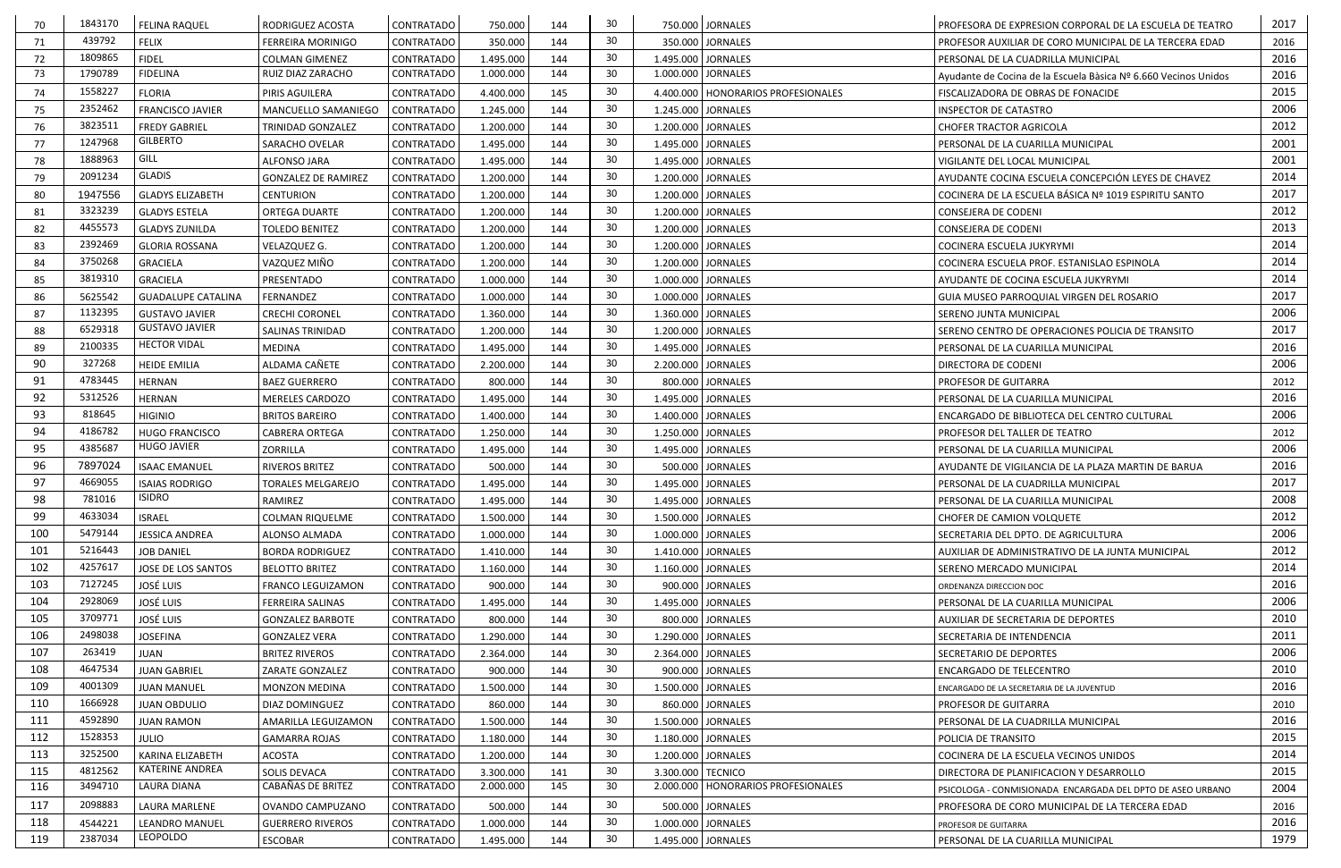| 70  | 1843170 | <b>FELINA RAQUEL</b>      | RODRIGUEZ ACOSTA           | CONTRATADO        | 750.000   | 144 | 30  | 750.000 JORNALES                     | PROFESORA DE EXPRESION CORPORAL DE LA ESCUELA DE TEATRO         | 2017 |
|-----|---------|---------------------------|----------------------------|-------------------|-----------|-----|-----|--------------------------------------|-----------------------------------------------------------------|------|
| 71  | 439792  | <b>FELIX</b>              | <b>FERREIRA MORINIGO</b>   | CONTRATADO        | 350.000   | 144 | 30  | 350.000 JORNALES                     | PROFESOR AUXILIAR DE CORO MUNICIPAL DE LA TERCERA EDAD          | 2016 |
| 72  | 1809865 | <b>FIDEL</b>              | <b>COLMAN GIMENEZ</b>      | CONTRATADO        | 1.495.000 | 144 | 30  | 1.495.000 JORNALES                   | PERSONAL DE LA CUADRILLA MUNICIPAL                              | 2016 |
| 73  | 1790789 | <b>FIDELINA</b>           | RUIZ DIAZ ZARACHO          | <b>CONTRATADO</b> | 1.000.000 | 144 | 30  | 1.000.000 JORNALES                   | Ayudante de Cocina de la Escuela Bàsica Nº 6.660 Vecinos Unidos | 2016 |
| 74  | 1558227 | <b>FLORIA</b>             | PIRIS AGUILERA             | CONTRATADO        | 4.400.000 | 145 | -30 | 4.400.000   HONORARIOS PROFESIONALES | FISCALIZADORA DE OBRAS DE FONACIDE                              | 2015 |
| 75  | 2352462 | <b>FRANCISCO JAVIER</b>   | MANCUELLO SAMANIEGO        | CONTRATADO        | 1.245.000 | 144 | 30  | 1.245.000 JORNALES                   | <b>INSPECTOR DE CATASTRO</b>                                    | 2006 |
| 76  | 3823511 | <b>FREDY GABRIEL</b>      | TRINIDAD GONZALEZ          | <b>CONTRATADO</b> | 1.200.000 | 144 | 30  | 1.200.000 JORNALES                   | <b>CHOFER TRACTOR AGRICOLA</b>                                  | 2012 |
| 77  | 1247968 | <b>GILBERTO</b>           | SARACHO OVELAR             | CONTRATADO        | 1.495.000 | 144 | 30  | 1.495.000 JORNALES                   | PERSONAL DE LA CUARILLA MUNICIPAL                               | 2001 |
| 78  | 1888963 | GILL                      | <b>ALFONSO JARA</b>        | CONTRATADO        | 1.495.000 | 144 | 30  | 1.495.000 JORNALES                   | VIGILANTE DEL LOCAL MUNICIPAL                                   | 2001 |
| 79  | 2091234 | <b>GLADIS</b>             | <b>GONZALEZ DE RAMIREZ</b> | <b>CONTRATADO</b> | 1.200.000 | 144 | 30  | 1.200.000 JORNALES                   | AYUDANTE COCINA ESCUELA CONCEPCIÓN LEYES DE CHAVEZ              | 2014 |
| 80  | 1947556 | <b>GLADYS ELIZABETH</b>   | <b>CENTURION</b>           | <b>CONTRATADO</b> | 1.200.000 | 144 | 30  | 1.200.000 JORNALES                   | COCINERA DE LA ESCUELA BÁSICA Nº 1019 ESPIRITU SANTO            | 2017 |
| 81  | 3323239 | <b>GLADYS ESTELA</b>      | ORTEGA DUARTE              | <b>CONTRATADO</b> | 1.200.000 | 144 | 30  | 1.200.000 JORNALES                   | <b>CONSEJERA DE CODENI</b>                                      | 2012 |
| 82  | 4455573 | <b>GLADYS ZUNILDA</b>     | <b>TOLEDO BENITEZ</b>      | CONTRATADO        | 1.200.000 | 144 | 30  | 1.200.000 JORNALES                   | <b>CONSEJERA DE CODENI</b>                                      | 2013 |
| 83  | 2392469 | <b>GLORIA ROSSANA</b>     | VELAZQUEZ G.               | <b>CONTRATADO</b> | 1.200.000 | 144 | 30  | 1.200.000 JORNALES                   | COCINERA ESCUELA JUKYRYMI                                       | 2014 |
| 84  | 3750268 | <b>GRACIELA</b>           | VAZQUEZ MIÑO               | CONTRATADO        | 1.200.000 | 144 | 30  | 1.200.000 JORNALES                   | COCINERA ESCUELA PROF. ESTANISLAO ESPINOLA                      | 2014 |
| 85  | 3819310 | <b>GRACIELA</b>           | PRESENTADO                 | <b>CONTRATADO</b> | 1.000.000 | 144 | 30  | 1.000.000 JORNALES                   | AYUDANTE DE COCINA ESCUELA JUKYRYMI                             | 2014 |
| 86  | 5625542 | <b>GUADALUPE CATALINA</b> | FERNANDEZ                  | <b>CONTRATADO</b> | 1.000.000 | 144 | 30  | 1.000.000 JORNALES                   | <b>GUIA MUSEO PARROQUIAL VIRGEN DEL ROSARIO</b>                 | 2017 |
| 87  | 1132395 | <b>GUSTAVO JAVIER</b>     | <b>CRECHI CORONEL</b>      | <b>CONTRATADO</b> | 1.360.000 | 144 | 30  | 1.360.000 JORNALES                   | SERENO JUNTA MUNICIPAL                                          | 2006 |
| 88  | 6529318 | <b>GUSTAVO JAVIER</b>     | SALINAS TRINIDAD           | CONTRATADO        | 1.200.000 | 144 | 30  | 1.200.000 JORNALES                   | SERENO CENTRO DE OPERACIONES POLICIA DE TRANSITO                | 2017 |
| 89  | 2100335 | <b>HECTOR VIDAL</b>       | <b>MEDINA</b>              | CONTRATADO        | 1.495.000 | 144 | 30  | 1.495.000 JORNALES                   | PERSONAL DE LA CUARILLA MUNICIPAL                               | 2016 |
| 90  | 327268  | <b>HEIDE EMILIA</b>       | ALDAMA CAÑETE              | <b>CONTRATADO</b> | 2.200.000 | 144 | 30  | 2.200.000 JORNALES                   | <b>DIRECTORA DE CODENI</b>                                      | 2006 |
| 91  | 4783445 | <b>HERNAN</b>             | <b>BAEZ GUERRERO</b>       | <b>CONTRATADO</b> | 800.000   | 144 | 30  | 800.000 JORNALES                     | PROFESOR DE GUITARRA                                            | 2012 |
| 92  | 5312526 | <b>HERNAN</b>             | <b>MERELES CARDOZO</b>     | CONTRATADO        | 1.495.000 | 144 | 30  | 1.495.000 JORNALES                   | PERSONAL DE LA CUARILLA MUNICIPAL                               | 2016 |
| 93  | 818645  | <b>HIGINIO</b>            | <b>BRITOS BAREIRO</b>      | CONTRATADO        | 1.400.000 | 144 | 30  | 1.400.000 JORNALES                   | ENCARGADO DE BIBLIOTECA DEL CENTRO CULTURAL                     | 2006 |
| 94  | 4186782 | <b>HUGO FRANCISCO</b>     | <b>CABRERA ORTEGA</b>      | <b>CONTRATADO</b> | 1.250.000 | 144 | 30  | 1.250.000 JORNALES                   | PROFESOR DEL TALLER DE TEATRO                                   | 2012 |
| 95  | 4385687 | <b>HUGO JAVIER</b>        | <b>ZORRILLA</b>            | CONTRATADO        | 1.495.000 | 144 | 30  | 1.495.000 JORNALES                   | PERSONAL DE LA CUARILLA MUNICIPAL                               | 2006 |
| 96  | 7897024 | <b>ISAAC EMANUEL</b>      | RIVEROS BRITEZ             | CONTRATADO        | 500.000   | 144 | 30  | 500.000 JORNALES                     | AYUDANTE DE VIGILANCIA DE LA PLAZA MARTIN DE BARUA              | 2016 |
| 97  | 4669055 | <b>ISAIAS RODRIGO</b>     | <b>TORALES MELGAREJO</b>   | <b>CONTRATADO</b> | 1.495.000 | 144 | 30  | 1.495.000 JORNALES                   | PERSONAL DE LA CUADRILLA MUNICIPAL                              | 2017 |
| 98  | 781016  | <b>ISIDRO</b>             | RAMIREZ                    | <b>CONTRATADO</b> | 1.495.000 | 144 | 30  | 1.495.000 JORNALES                   | PERSONAL DE LA CUARILLA MUNICIPAL                               | 2008 |
| 99  | 4633034 | <b>ISRAEL</b>             | <b>COLMAN RIQUELME</b>     | CONTRATADO        | 1.500.000 | 144 | 30  | 1.500.000 JORNALES                   | CHOFER DE CAMION VOLQUETE                                       | 2012 |
| 100 | 5479144 | <b>JESSICA ANDREA</b>     | ALONSO ALMADA              | CONTRATADO        | 1.000.000 | 144 | 30  | 1.000.000 JORNALES                   | SECRETARIA DEL DPTO. DE AGRICULTURA                             | 2006 |
| 101 | 5216443 | <b>JOB DANIEL</b>         | <b>BORDA RODRIGUEZ</b>     | CONTRATADO        | 1.410.000 | 144 | 30  | 1.410.000 JORNALES                   | AUXILIAR DE ADMINISTRATIVO DE LA JUNTA MUNICIPAL                | 2012 |
| 102 | 4257617 | JOSE DE LOS SANTOS        | <b>BELOTTO BRITEZ</b>      | CONTRATADO        | 1.160.000 | 144 | 30  | 1.160.000 JORNALES                   | SERENO MERCADO MUNICIPAL                                        | 2014 |
| 103 | 7127245 | JOSÉ LUIS                 | <b>FRANCO LEGUIZAMON</b>   | CONTRATADO        | 900.000   | 144 | 30  | 900.000 JORNALES                     | ORDENANZA DIRECCION DOC                                         | 2016 |
| 104 | 2928069 | <b>JOSÉ LUIS</b>          | <b>FERREIRA SALINAS</b>    | CONTRATADO        | 1.495.000 | 144 | 30  | 1.495.000 JORNALES                   | PERSONAL DE LA CUARILLA MUNICIPAL                               | 2006 |
| 105 | 3709771 | <b>JOSÉ LUIS</b>          | <b>GONZALEZ BARBOTE</b>    | CONTRATADO        | 800.000   | 144 | 30  | 800.000 JORNALES                     | AUXILIAR DE SECRETARIA DE DEPORTES                              | 2010 |
| 106 | 2498038 | <b>JOSEFINA</b>           | <b>GONZALEZ VERA</b>       | CONTRATADO        | 1.290.000 | 144 | 30  | 1.290.000 JORNALES                   | SECRETARIA DE INTENDENCIA                                       | 2011 |
| 107 | 263419  | <b>JUAN</b>               | <b>BRITEZ RIVEROS</b>      | CONTRATADO        | 2.364.000 | 144 | 30  | 2.364.000 JORNALES                   | SECRETARIO DE DEPORTES                                          | 2006 |
| 108 | 4647534 | <b>JUAN GABRIEL</b>       | ZARATE GONZALEZ            | CONTRATADO        | 900.000   | 144 | 30  | 900.000 JORNALES                     | ENCARGADO DE TELECENTRO                                         | 2010 |
| 109 | 4001309 | <b>JUAN MANUEL</b>        | <b>MONZON MEDINA</b>       | <b>CONTRATADO</b> | 1.500.000 | 144 | 30  | 1.500.000 JORNALES                   | ENCARGADO DE LA SECRETARIA DE LA JUVENTUD                       | 2016 |
| 110 | 1666928 | <b>JUAN OBDULIO</b>       | DIAZ DOMINGUEZ             | <b>CONTRATADO</b> | 860.000   | 144 | 30  | 860.000 JORNALES                     | PROFESOR DE GUITARRA                                            | 2010 |
| 111 | 4592890 | <b>JUAN RAMON</b>         | AMARILLA LEGUIZAMON        | CONTRATADO        | 1.500.000 | 144 | 30  | 1.500.000 JORNALES                   | PERSONAL DE LA CUADRILLA MUNICIPAL                              | 2016 |
| 112 | 1528353 | <b>JULIO</b>              | <b>GAMARRA ROJAS</b>       | CONTRATADO        | 1.180.000 | 144 | 30  | 1.180.000 JORNALES                   | POLICIA DE TRANSITO                                             | 2015 |
| 113 | 3252500 | KARINA ELIZABETH          | <b>ACOSTA</b>              | CONTRATADO        | 1.200.000 | 144 | 30  | 1.200.000 JORNALES                   | COCINERA DE LA ESCUELA VECINOS UNIDOS                           | 2014 |
| 115 | 4812562 | KATERINE ANDREA           | SOLIS DEVACA               | CONTRATADO        | 3.300.000 | 141 | 30  | 3.300.000 TECNICO                    | DIRECTORA DE PLANIFICACION Y DESARROLLO                         | 2015 |
| 116 | 3494710 | LAURA DIANA               | CABAÑAS DE BRITEZ          | CONTRATADO        | 2.000.000 | 145 | 30  | 2.000.000   HONORARIOS PROFESIONALES | PSICOLOGA - CONMISIONADA ENCARGADA DEL DPTO DE ASEO URBANO      | 2004 |
| 117 | 2098883 | LAURA MARLENE             | OVANDO CAMPUZANO           | CONTRATADO        | 500.000   | 144 | 30  | 500.000 JORNALES                     | PROFESORA DE CORO MUNICIPAL DE LA TERCERA EDAD                  | 2016 |
| 118 | 4544221 | <b>LEANDRO MANUEL</b>     | <b>GUERRERO RIVEROS</b>    | CONTRATADO        | 1.000.000 | 144 | 30  | 1.000.000 JORNALES                   | PROFESOR DE GUITARRA                                            | 2016 |
| 119 | 2387034 | LEOPOLDO                  | ESCOBAR                    | CONTRATADO        | 1.495.000 | 144 | 30  | 1.495.000 JORNALES                   | PERSONAL DE LA CUARILLA MUNICIPAL                               | 1979 |
|     |         |                           |                            |                   |           |     |     |                                      |                                                                 |      |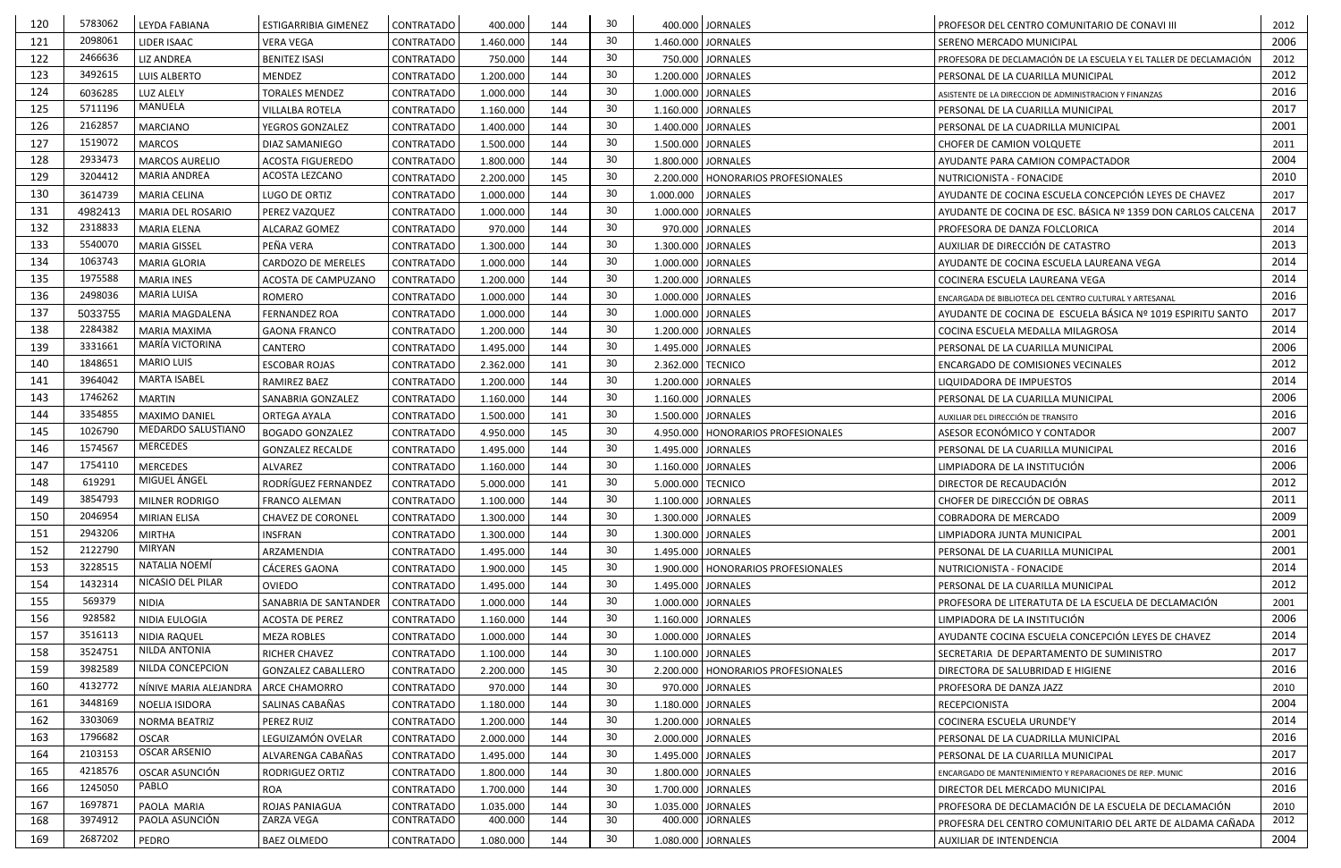| 120 | 5783062 | LEYDA FABIANA          | ESTIGARRIBIA GIMENEZ                      | CONTRATADO        | 400.000   | 144 | 30  | 400.000 JORNALES                     | PROFESOR DEL CENTRO COMUNITARIO DE CONAVI III                     | 2012 |
|-----|---------|------------------------|-------------------------------------------|-------------------|-----------|-----|-----|--------------------------------------|-------------------------------------------------------------------|------|
| 121 | 2098061 | LIDER ISAAC            | <b>VERA VEGA</b>                          | <b>CONTRATADO</b> | 1.460.000 | 144 | 30  | 1.460.000 JORNALES                   | SERENO MERCADO MUNICIPAL                                          | 2006 |
| 122 | 2466636 | <b>LIZ ANDREA</b>      | <b>BENITEZ ISASI</b>                      | CONTRATADO        | 750.000   | 144 | 30  | 750.000 JORNALES                     | PROFESORA DE DECLAMACIÓN DE LA ESCUELA Y EL TALLER DE DECLAMACIÓN | 2012 |
| 123 | 3492615 | <b>LUIS ALBERTO</b>    | <b>MENDEZ</b>                             | <b>CONTRATADO</b> | 1.200.000 | 144 | 30  | 1.200.000 JORNALES                   | PERSONAL DE LA CUARILLA MUNICIPAL                                 | 2012 |
| 124 | 6036285 | <b>LUZ ALELY</b>       | <b>TORALES MENDEZ</b>                     | <b>CONTRATADO</b> | 1.000.000 | 144 | 30  | 1.000.000 JORNALES                   | ASISTENTE DE LA DIRECCION DE ADMINISTRACION Y FINANZAS            | 2016 |
| 125 | 5711196 | <b>MANUELA</b>         | <b>VILLALBA ROTELA</b>                    | CONTRATADO        | 1.160.000 | 144 | 30  | 1.160.000 JORNALES                   | PERSONAL DE LA CUARILLA MUNICIPAL                                 | 2017 |
| 126 | 2162857 | <b>MARCIANO</b>        | YEGROS GONZALEZ                           | <b>CONTRATADO</b> | 1.400.000 | 144 | 30  | 1.400.000 JORNALES                   | PERSONAL DE LA CUADRILLA MUNICIPAL                                | 2001 |
| 127 | 1519072 | <b>MARCOS</b>          | DIAZ SAMANIEGO                            | CONTRATADO        | 1.500.000 | 144 | 30  | 1.500.000 JORNALES                   | CHOFER DE CAMION VOLQUETE                                         | 2011 |
| 128 | 2933473 | <b>MARCOS AURELIO</b>  | <b>ACOSTA FIGUEREDO</b>                   | <b>CONTRATADO</b> | 1.800.000 | 144 | 30  | 1.800.000 JORNALES                   | AYUDANTE PARA CAMION COMPACTADOR                                  | 2004 |
| 129 | 3204412 | <b>MARIA ANDREA</b>    | ACOSTA LEZCANO                            | CONTRATADO        | 2.200.000 | 145 | 30  | 2.200.000   HONORARIOS PROFESIONALES | NUTRICIONISTA - FONACIDE                                          | 2010 |
| 130 | 3614739 | <b>MARIA CELINA</b>    | LUGO DE ORTIZ                             | CONTRATADO        | 1.000.000 | 144 | 30  | <b>JORNALES</b><br>1.000.000         | AYUDANTE DE COCINA ESCUELA CONCEPCIÓN LEYES DE CHAVEZ             | 2017 |
| 131 | 4982413 | MARIA DEL ROSARIO      | PEREZ VAZQUEZ                             | <b>CONTRATADO</b> | 1.000.000 | 144 | 30  | 1.000.000 JORNALES                   | AYUDANTE DE COCINA DE ESC. BÁSICA Nº 1359 DON CARLOS CALCENA      | 2017 |
| 132 | 2318833 | <b>MARIA ELENA</b>     | ALCARAZ GOMEZ                             | CONTRATADO        | 970.000   | 144 | 30  | 970.000 JORNALES                     | PROFESORA DE DANZA FOLCLORICA                                     | 2014 |
| 133 | 5540070 | <b>MARIA GISSEL</b>    | PEÑA VERA                                 | CONTRATADO        | 1.300.000 | 144 | 30  | 1.300.000 JORNALES                   | AUXILIAR DE DIRECCIÓN DE CATASTRO                                 | 2013 |
| 134 | 1063743 | <b>MARIA GLORIA</b>    | CARDOZO DE MERELES                        | CONTRATADO        | 1.000.000 | 144 | 30  | 1.000.000 JORNALES                   | AYUDANTE DE COCINA ESCUELA LAUREANA VEGA                          | 2014 |
| 135 | 1975588 | <b>MARIA INES</b>      | ACOSTA DE CAMPUZANO                       | <b>CONTRATADO</b> | 1.200.000 | 144 | 30  | 1.200.000 JORNALES                   | COCINERA ESCUELA LAUREANA VEGA                                    | 2014 |
| 136 | 2498036 | <b>MARIA LUISA</b>     | ROMERO                                    | <b>CONTRATADO</b> | 1.000.000 | 144 | 30  | 1.000.000 JORNALES                   | ENCARGADA DE BIBLIOTECA DEL CENTRO CULTURAL Y ARTESANAL           | 2016 |
| 137 | 5033755 | MARIA MAGDALENA        | <b>FERNANDEZ ROA</b>                      | <b>CONTRATADO</b> | 1.000.000 | 144 | 30  | 1.000.000 JORNALES                   | AYUDANTE DE COCINA DE ESCUELA BÁSICA Nº 1019 ESPIRITU SANTO       | 2017 |
| 138 | 2284382 | <b>MARIA MAXIMA</b>    | <b>GAONA FRANCO</b>                       | CONTRATADO        | 1.200.000 | 144 | 30  | 1.200.000 JORNALES                   | COCINA ESCUELA MEDALLA MILAGROSA                                  | 2014 |
| 139 | 3331661 | MARÍA VICTORINA        | CANTERO                                   | CONTRATADO        | 1.495.000 | 144 | 30  | 1.495.000 JORNALES                   | PERSONAL DE LA CUARILLA MUNICIPAL                                 | 2006 |
| 140 | 1848651 | <b>MARIO LUIS</b>      | <b>ESCOBAR ROJAS</b>                      | <b>CONTRATADO</b> | 2.362.000 | 141 | 30  | 2.362.000 TECNICO                    | <b>ENCARGADO DE COMISIONES VECINALES</b>                          | 2012 |
| 141 | 3964042 | <b>MARTA ISABEL</b>    | RAMIREZ BAEZ                              | <b>CONTRATADO</b> | 1.200.000 | 144 | 30  | 1.200.000 JORNALES                   | LIQUIDADORA DE IMPUESTOS                                          | 2014 |
| 143 | 1746262 | <b>MARTIN</b>          | SANABRIA GONZALEZ                         | <b>CONTRATADO</b> | 1.160.000 | 144 | 30  | 1.160.000 JORNALES                   | PERSONAL DE LA CUARILLA MUNICIPAL                                 | 2006 |
| 144 | 3354855 | MAXIMO DANIEL          | ORTEGA AYALA                              | <b>CONTRATADO</b> | 1.500.000 | 141 | 30  | 1.500.000 JORNALES                   | AUXILIAR DEL DIRECCIÓN DE TRANSITO                                | 2016 |
| 145 | 1026790 | MEDARDO SALUSTIANO     | <b>BOGADO GONZALEZ</b>                    | <b>CONTRATADO</b> | 4.950.000 | 145 | 30  | 4.950.000   HONORARIOS PROFESIONALES | ASESOR ECONÓMICO Y CONTADOR                                       | 2007 |
| 146 | 1574567 | <b>MERCEDES</b>        | <b>GONZALEZ RECALDE</b>                   | CONTRATADO        | 1.495.000 | 144 | 30  | 1.495.000 JORNALES                   | PERSONAL DE LA CUARILLA MUNICIPAL                                 | 2016 |
| 147 | 1754110 | <b>MERCEDES</b>        | ALVAREZ                                   | CONTRATADO        | 1.160.000 | 144 | 30  | 1.160.000 JORNALES                   | LIMPIADORA DE LA INSTITUCIÓN                                      | 2006 |
| 148 | 619291  | MIGUEL ÁNGEL           | RODRÍGUEZ FERNANDEZ                       | <b>CONTRATADO</b> | 5.000.000 | 141 | 30  | 5.000.000 TECNICO                    | DIRECTOR DE RECAUDACIÓN                                           | 2012 |
| 149 | 3854793 | MILNER RODRIGO         |                                           | <b>CONTRATADO</b> | 1.100.000 | 144 | 30  | 1.100.000 JORNALES                   | CHOFER DE DIRECCIÓN DE OBRAS                                      | 2011 |
| 150 | 2046954 | MIRIAN ELISA           | FRANCO ALEMAN<br><b>CHAVEZ DE CORONEL</b> | CONTRATADO        | 1.300.000 | 144 | 30  | 1.300.000 JORNALES                   | <b>COBRADORA DE MERCADO</b>                                       | 2009 |
| 151 | 2943206 | <b>MIRTHA</b>          |                                           |                   |           |     | 30  |                                      |                                                                   | 2001 |
|     | 2122790 | <b>MIRYAN</b>          | <b>INSFRAN</b>                            | CONTRATADO        | 1.300.000 | 144 | 30  | 1.300.000 JORNALES                   | LIMPIADORA JUNTA MUNICIPAL                                        |      |
| 152 |         | NATALIA NOEMÍ          | ARZAMENDIA                                | CONTRATADO        | 1.495.000 | 144 |     | 1.495.000 JORNALES                   | PERSONAL DE LA CUARILLA MUNICIPAL                                 | 2001 |
| 153 | 3228515 | NICASIO DEL PILAR      | CÁCERES GAONA                             | CONTRATADO        | 1.900.000 | 145 | 30  | 1.900.000   HONORARIOS PROFESIONALES | NUTRICIONISTA - FONACIDE                                          | 2014 |
| 154 | 1432314 |                        | OVIEDO                                    | <b>CONTRATADO</b> | 1.495.000 | 144 | 30  | 1.495.000 JORNALES                   | PERSONAL DE LA CUARILLA MUNICIPAL                                 | 2012 |
| 155 | 569379  | <b>NIDIA</b>           | SANABRIA DE SANTANDER                     | CONTRATADO        | 1.000.000 | 144 | 30  | 1.000.000 JORNALES                   | PROFESORA DE LITERATUTA DE LA ESCUELA DE DECLAMACIÓN              | 2001 |
| 156 | 928582  | NIDIA EULOGIA          | ACOSTA DE PEREZ                           | CONTRATADO        | 1.160.000 | 144 | 30  | 1.160.000 JORNALES                   | LIMPIADORA DE LA INSTITUCIÓN                                      | 2006 |
| 157 | 3516113 | <b>NIDIA RAQUEL</b>    | <b>MEZA ROBLES</b>                        | CONTRATADO        | 1.000.000 | 144 | 30  | 1.000.000 JORNALES                   | AYUDANTE COCINA ESCUELA CONCEPCIÓN LEYES DE CHAVEZ                | 2014 |
| 158 | 3524751 | NILDA ANTONIA          | RICHER CHAVEZ                             | CONTRATADO        | 1.100.000 | 144 | 30  | 1.100.000 JORNALES                   | SECRETARIA DE DEPARTAMENTO DE SUMINISTRO                          | 2017 |
| 159 | 3982589 | NILDA CONCEPCION       | <b>GONZALEZ CABALLERO</b>                 | CONTRATADO        | 2.200.000 | 145 | 30  | 2.200.000   HONORARIOS PROFESIONALES | DIRECTORA DE SALUBRIDAD E HIGIENE                                 | 2016 |
| 160 | 4132772 | NÍNIVE MARIA ALEJANDRA | ARCE CHAMORRO                             | CONTRATADO        | 970.000   | 144 | 30  | 970.000 JORNALES                     | PROFESORA DE DANZA JAZZ                                           | 2010 |
| 161 | 3448169 | NOELIA ISIDORA         | SALINAS CABAÑAS                           | CONTRATADO        | 1.180.000 | 144 | 30  | 1.180.000 JORNALES                   | RECEPCIONISTA                                                     | 2004 |
| 162 | 3303069 | NORMA BEATRIZ          | PEREZ RUIZ                                | CONTRATADO        | 1.200.000 | 144 | 30  | 1.200.000 JORNALES                   | COCINERA ESCUELA URUNDE'Y                                         | 2014 |
| 163 | 1796682 | <b>OSCAR</b>           | LEGUIZAMÓN OVELAR                         | CONTRATADO        | 2.000.000 | 144 | -30 | 2.000.000 JORNALES                   | PERSONAL DE LA CUADRILLA MUNICIPAL                                | 2016 |
| 164 | 2103153 | <b>OSCAR ARSENIO</b>   | ALVARENGA CABAÑAS                         | CONTRATADO        | 1.495.000 | 144 | 30  | 1.495.000 JORNALES                   | PERSONAL DE LA CUARILLA MUNICIPAL                                 | 2017 |
| 165 | 4218576 | OSCAR ASUNCIÓN         | <b>RODRIGUEZ ORTIZ</b>                    | CONTRATADO        | 1.800.000 | 144 | 30  | 1.800.000 JORNALES                   | ENCARGADO DE MANTENIMIENTO Y REPARACIONES DE REP. MUNIC           | 2016 |
| 166 | 1245050 | PABLO                  | <b>ROA</b>                                | <b>CONTRATADO</b> | 1.700.000 | 144 | 30  | 1.700.000 JORNALES                   | DIRECTOR DEL MERCADO MUNICIPAL                                    | 2016 |
| 167 | 1697871 | PAOLA MARIA            | ROJAS PANIAGUA                            | CONTRATADO        | 1.035.000 | 144 | 30  | 1.035.000 JORNALES                   | PROFESORA DE DECLAMACIÓN DE LA ESCUELA DE DECLAMACIÓN             | 2010 |
| 168 | 3974912 | PAOLA ASUNCIÓN         | ZARZA VEGA                                | CONTRATADO        | 400.000   | 144 | 30  | 400.000 JORNALES                     | PROFESRA DEL CENTRO COMUNITARIO DEL ARTE DE ALDAMA CAÑADA         | 2012 |
| 169 | 2687202 | PEDRO                  | BAEZ OLMEDO                               | CONTRATADO        | 1.080.000 | 144 | 30  | 1.080.000 JORNALES                   | AUXILIAR DE INTENDENCIA                                           | 2004 |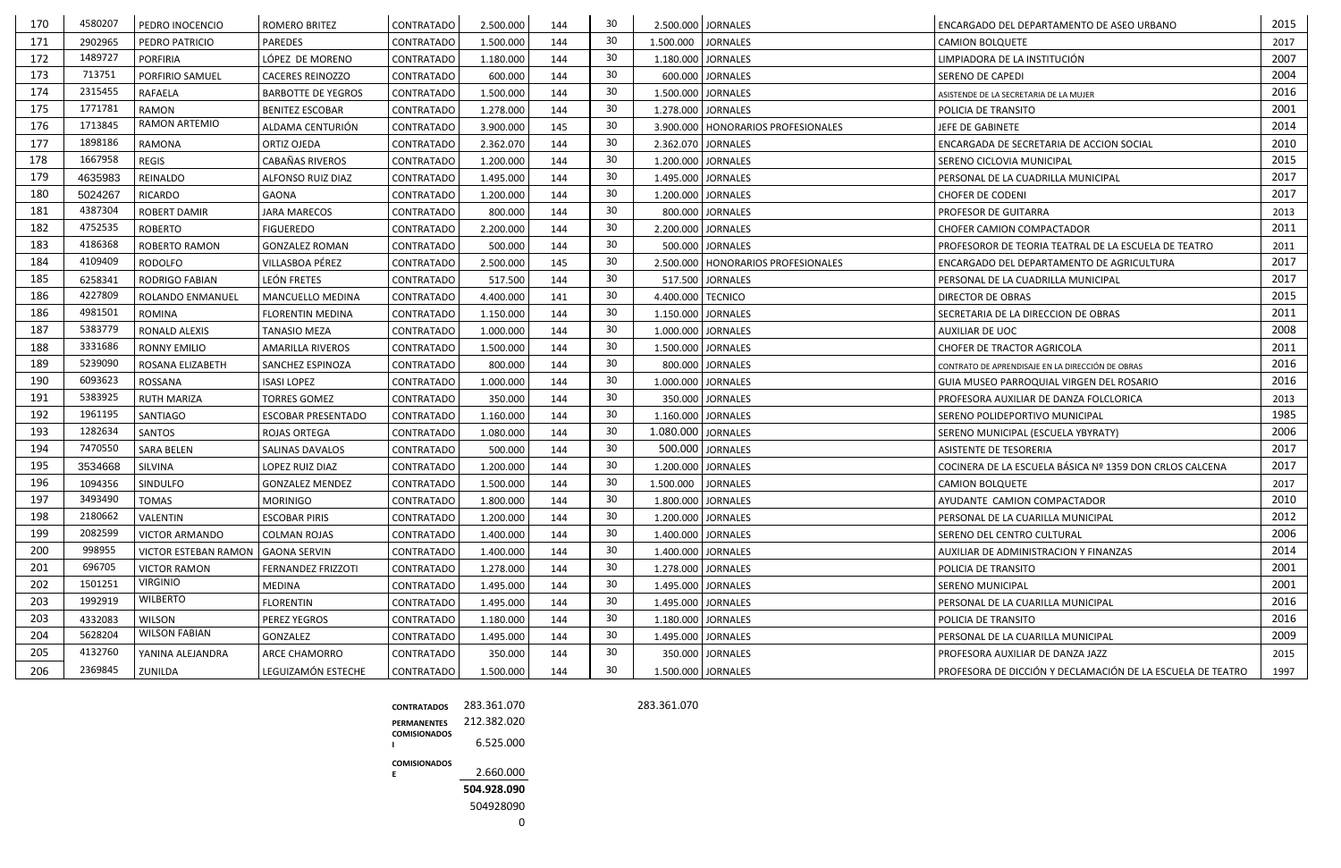| 30<br>171<br>2902965<br><b>PAREDES</b><br><b>CONTRATADO</b><br>144<br>1.500.000<br><b>JORNALES</b><br>2017<br>PEDRO PATRICIO<br>1.500.000<br><b>CAMION BOLQUETE</b><br>1489727<br>30<br>2007<br>172<br>144<br>1.180.000 JORNALES<br>PORFIRIA<br>LÓPEZ DE MORENO<br>LIMPIADORA DE LA INSTITUCIÓN<br><b>CONTRATADO</b><br>1.180.000<br>30<br>713751<br>2004<br>173<br>144<br>PORFIRIO SAMUEL<br>600.000 JORNALES<br><b>CACERES REINOZZO</b><br><b>CONTRATADO</b><br>600.000<br><b>SERENO DE CAPEDI</b><br>30<br>2315455<br>2016<br>174<br><b>RAFAELA</b><br>144<br>1.500.000 JORNALES<br><b>BARBOTTE DE YEGROS</b><br><b>CONTRATADO</b><br>1.500.000<br>ASISTENDE DE LA SECRETARIA DE LA MUJER<br>1771781<br>30<br>2001<br>175<br><b>RAMON</b><br>144<br>1.278.000<br>1.278.000 JORNALES<br><b>BENITEZ ESCOBAR</b><br><b>CONTRATADO</b><br><b>POLICIA DE TRANSITO</b><br>RAMON ARTEMIO<br>30<br>1713845<br>2014<br>176<br>ALDAMA CENTURIÓN<br>3.900.000<br>145<br><b>CONTRATADO</b><br>3.900.000   HONORARIOS PROFESIONALES<br>JEFE DE GABINETE<br>30<br>1898186<br>177<br>2010<br>RAMONA<br>144<br>ORTIZ OJEDA<br><b>CONTRATADO</b><br>2.362.070<br>2.362.070 JORNALES<br>ENCARGADA DE SECRETARIA DE ACCION SOCIAL<br>30<br>1667958<br>2015<br>178<br><b>REGIS</b><br>144<br>1.200.000 JORNALES<br>CABAÑAS RIVEROS<br><b>CONTRATADO</b><br>1.200.000<br>SERENO CICLOVIA MUNICIPAL<br>30<br>2017<br>179<br>4635983<br>144<br>1.495.000 JORNALES<br><b>REINALDO</b><br>ALFONSO RUIZ DIAZ<br><b>CONTRATADO</b><br>1.495.000<br>PERSONAL DE LA CUADRILLA MUNICIPAL<br>30<br>2017<br>180<br>144<br>5024267<br><b>RICARDO</b><br>1.200.000 JORNALES<br><b>GAONA</b><br><b>CONTRATADO</b><br>1.200.000<br><b>CHOFER DE CODENI</b><br>30<br>181<br>4387304<br><b>ROBERT DAMIR</b><br>800.000<br>144<br>800.000 JORNALES<br>2013<br><b>JARA MARECOS</b><br><b>CONTRATADO</b><br><b>PROFESOR DE GUITARRA</b> |
|---------------------------------------------------------------------------------------------------------------------------------------------------------------------------------------------------------------------------------------------------------------------------------------------------------------------------------------------------------------------------------------------------------------------------------------------------------------------------------------------------------------------------------------------------------------------------------------------------------------------------------------------------------------------------------------------------------------------------------------------------------------------------------------------------------------------------------------------------------------------------------------------------------------------------------------------------------------------------------------------------------------------------------------------------------------------------------------------------------------------------------------------------------------------------------------------------------------------------------------------------------------------------------------------------------------------------------------------------------------------------------------------------------------------------------------------------------------------------------------------------------------------------------------------------------------------------------------------------------------------------------------------------------------------------------------------------------------------------------------------------------------------------------------------------------------------------------------------------------------------------------------------------|
|                                                                                                                                                                                                                                                                                                                                                                                                                                                                                                                                                                                                                                                                                                                                                                                                                                                                                                                                                                                                                                                                                                                                                                                                                                                                                                                                                                                                                                                                                                                                                                                                                                                                                                                                                                                                                                                                                                   |
|                                                                                                                                                                                                                                                                                                                                                                                                                                                                                                                                                                                                                                                                                                                                                                                                                                                                                                                                                                                                                                                                                                                                                                                                                                                                                                                                                                                                                                                                                                                                                                                                                                                                                                                                                                                                                                                                                                   |
|                                                                                                                                                                                                                                                                                                                                                                                                                                                                                                                                                                                                                                                                                                                                                                                                                                                                                                                                                                                                                                                                                                                                                                                                                                                                                                                                                                                                                                                                                                                                                                                                                                                                                                                                                                                                                                                                                                   |
|                                                                                                                                                                                                                                                                                                                                                                                                                                                                                                                                                                                                                                                                                                                                                                                                                                                                                                                                                                                                                                                                                                                                                                                                                                                                                                                                                                                                                                                                                                                                                                                                                                                                                                                                                                                                                                                                                                   |
|                                                                                                                                                                                                                                                                                                                                                                                                                                                                                                                                                                                                                                                                                                                                                                                                                                                                                                                                                                                                                                                                                                                                                                                                                                                                                                                                                                                                                                                                                                                                                                                                                                                                                                                                                                                                                                                                                                   |
|                                                                                                                                                                                                                                                                                                                                                                                                                                                                                                                                                                                                                                                                                                                                                                                                                                                                                                                                                                                                                                                                                                                                                                                                                                                                                                                                                                                                                                                                                                                                                                                                                                                                                                                                                                                                                                                                                                   |
|                                                                                                                                                                                                                                                                                                                                                                                                                                                                                                                                                                                                                                                                                                                                                                                                                                                                                                                                                                                                                                                                                                                                                                                                                                                                                                                                                                                                                                                                                                                                                                                                                                                                                                                                                                                                                                                                                                   |
|                                                                                                                                                                                                                                                                                                                                                                                                                                                                                                                                                                                                                                                                                                                                                                                                                                                                                                                                                                                                                                                                                                                                                                                                                                                                                                                                                                                                                                                                                                                                                                                                                                                                                                                                                                                                                                                                                                   |
|                                                                                                                                                                                                                                                                                                                                                                                                                                                                                                                                                                                                                                                                                                                                                                                                                                                                                                                                                                                                                                                                                                                                                                                                                                                                                                                                                                                                                                                                                                                                                                                                                                                                                                                                                                                                                                                                                                   |
|                                                                                                                                                                                                                                                                                                                                                                                                                                                                                                                                                                                                                                                                                                                                                                                                                                                                                                                                                                                                                                                                                                                                                                                                                                                                                                                                                                                                                                                                                                                                                                                                                                                                                                                                                                                                                                                                                                   |
|                                                                                                                                                                                                                                                                                                                                                                                                                                                                                                                                                                                                                                                                                                                                                                                                                                                                                                                                                                                                                                                                                                                                                                                                                                                                                                                                                                                                                                                                                                                                                                                                                                                                                                                                                                                                                                                                                                   |
| 4752535<br>30<br>182<br>2011<br>144<br><b>ROBERTO</b><br>2.200.000 JORNALES<br><b>FIGUEREDO</b><br><b>CONTRATADO</b><br>2.200.000<br>CHOFER CAMION COMPACTADOR                                                                                                                                                                                                                                                                                                                                                                                                                                                                                                                                                                                                                                                                                                                                                                                                                                                                                                                                                                                                                                                                                                                                                                                                                                                                                                                                                                                                                                                                                                                                                                                                                                                                                                                                    |
| 30<br>4186368<br>183<br>ROBERTO RAMON<br>144<br>500.000 JORNALES<br><b>GONZALEZ ROMAN</b><br><b>CONTRATADO</b><br>500.000<br>PROFESOROR DE TEORIA TEATRAL DE LA ESCUELA DE TEATRO<br>2011                                                                                                                                                                                                                                                                                                                                                                                                                                                                                                                                                                                                                                                                                                                                                                                                                                                                                                                                                                                                                                                                                                                                                                                                                                                                                                                                                                                                                                                                                                                                                                                                                                                                                                         |
| 30<br>4109409<br>2017<br>184<br>145<br><b>RODOLFO</b><br>VILLASBOA PÉREZ<br>2.500.000<br>2.500.000   HONORARIOS PROFESIONALES<br><b>CONTRATADO</b><br>ENCARGADO DEL DEPARTAMENTO DE AGRICULTURA                                                                                                                                                                                                                                                                                                                                                                                                                                                                                                                                                                                                                                                                                                                                                                                                                                                                                                                                                                                                                                                                                                                                                                                                                                                                                                                                                                                                                                                                                                                                                                                                                                                                                                   |
| 30<br>2017<br>185<br>LEÓN FRETES<br>144<br>6258341<br><b>RODRIGO FABIAN</b><br>517.500<br>517.500 JORNALES<br><b>CONTRATADO</b><br>PERSONAL DE LA CUADRILLA MUNICIPAL                                                                                                                                                                                                                                                                                                                                                                                                                                                                                                                                                                                                                                                                                                                                                                                                                                                                                                                                                                                                                                                                                                                                                                                                                                                                                                                                                                                                                                                                                                                                                                                                                                                                                                                             |
| 4227809<br>30<br>186<br>2015<br>4.400.000 TECNICO<br>ROLANDO ENMANUEI<br>MANCUELLO MEDINA<br><b>CONTRATADO</b><br>4.400.000<br>141<br><b>DIRECTOR DE OBRAS</b>                                                                                                                                                                                                                                                                                                                                                                                                                                                                                                                                                                                                                                                                                                                                                                                                                                                                                                                                                                                                                                                                                                                                                                                                                                                                                                                                                                                                                                                                                                                                                                                                                                                                                                                                    |
| 30<br>4981501<br>2011<br>186<br>144<br>ROMINA<br>1.150.000 JORNALES<br><b>FLORENTIN MEDINA</b><br><b>CONTRATADO</b><br>1.150.000<br>SECRETARIA DE LA DIRECCION DE OBRAS                                                                                                                                                                                                                                                                                                                                                                                                                                                                                                                                                                                                                                                                                                                                                                                                                                                                                                                                                                                                                                                                                                                                                                                                                                                                                                                                                                                                                                                                                                                                                                                                                                                                                                                           |
| 30<br>5383779<br>187<br>2008<br>RONALD ALEXIS<br>144<br>1.000.000 JORNALES<br><b>TANASIO MEZA</b><br><b>CONTRATADO</b><br>1.000.000<br><b>AUXILIAR DE UOC</b>                                                                                                                                                                                                                                                                                                                                                                                                                                                                                                                                                                                                                                                                                                                                                                                                                                                                                                                                                                                                                                                                                                                                                                                                                                                                                                                                                                                                                                                                                                                                                                                                                                                                                                                                     |
| 30<br>3331686<br>188<br>2011<br>144<br>1.500.000 JORNALES<br><b>RONNY EMILIO</b><br><b>CONTRATADO</b><br>1.500.000<br><b>AMARILLA RIVEROS</b><br><b>CHOFER DE TRACTOR AGRICOLA</b>                                                                                                                                                                                                                                                                                                                                                                                                                                                                                                                                                                                                                                                                                                                                                                                                                                                                                                                                                                                                                                                                                                                                                                                                                                                                                                                                                                                                                                                                                                                                                                                                                                                                                                                |
| 30<br>2016<br>189<br>5239090<br>144<br>800.000 JORNALES<br>ROSANA ELIZABETH<br>SANCHEZ ESPINOZA<br><b>CONTRATADO</b><br>800.000<br>CONTRATO DE APRENDISAJE EN LA DIRECCIÓN DE OBRAS                                                                                                                                                                                                                                                                                                                                                                                                                                                                                                                                                                                                                                                                                                                                                                                                                                                                                                                                                                                                                                                                                                                                                                                                                                                                                                                                                                                                                                                                                                                                                                                                                                                                                                               |
| 6093623<br>30<br>190<br>2016<br>ROSSANA<br>144<br>1.000.000 JORNALES<br><b>ISASI LOPEZ</b><br><b>CONTRATADO</b><br>1.000.000<br><b>GUIA MUSEO PARROQUIAL VIRGEN DEL ROSARIO</b>                                                                                                                                                                                                                                                                                                                                                                                                                                                                                                                                                                                                                                                                                                                                                                                                                                                                                                                                                                                                                                                                                                                                                                                                                                                                                                                                                                                                                                                                                                                                                                                                                                                                                                                   |
| 5383925<br>30<br>191<br>144<br>350.000 JORNALES<br><b>RUTH MARIZA</b><br><b>TORRES GOMEZ</b><br><b>CONTRATADO</b><br>350.000<br>2013<br>PROFESORA AUXILIAR DE DANZA FOLCLORICA                                                                                                                                                                                                                                                                                                                                                                                                                                                                                                                                                                                                                                                                                                                                                                                                                                                                                                                                                                                                                                                                                                                                                                                                                                                                                                                                                                                                                                                                                                                                                                                                                                                                                                                    |
| 30<br>1985<br>192<br>1961195<br>SANTIAGO<br>144<br>1.160.000 JORNALES<br><b>ESCOBAR PRESENTADO</b><br><b>CONTRATADO</b><br>1.160.000<br>SERENO POLIDEPORTIVO MUNICIPAL                                                                                                                                                                                                                                                                                                                                                                                                                                                                                                                                                                                                                                                                                                                                                                                                                                                                                                                                                                                                                                                                                                                                                                                                                                                                                                                                                                                                                                                                                                                                                                                                                                                                                                                            |
| 1282634<br>30<br>2006<br>193<br><b>SANTOS</b><br>144<br>1.080.000 JORNALES<br><b>ROJAS ORTEGA</b><br><b>CONTRATADO</b><br>1.080.000<br>SERENO MUNICIPAL (ESCUELA YBYRATY)                                                                                                                                                                                                                                                                                                                                                                                                                                                                                                                                                                                                                                                                                                                                                                                                                                                                                                                                                                                                                                                                                                                                                                                                                                                                                                                                                                                                                                                                                                                                                                                                                                                                                                                         |
| 7470550<br>30<br>500.000 JORNALES<br>2017<br>194<br>144<br><b>SARA BELEN</b><br>SALINAS DAVALOS<br><b>CONTRATADO</b><br>500.000<br><b>ASISTENTE DE TESORERIA</b>                                                                                                                                                                                                                                                                                                                                                                                                                                                                                                                                                                                                                                                                                                                                                                                                                                                                                                                                                                                                                                                                                                                                                                                                                                                                                                                                                                                                                                                                                                                                                                                                                                                                                                                                  |
| 30<br>1.200.000 JORNALES<br>2017<br>195<br>SILVINA<br>1.200.000<br>144<br>COCINERA DE LA ESCUELA BÁSICA Nº 1359 DON CRLOS CALCENA<br>3534668<br>LOPEZ RUIZ DIAZ<br><b>CONTRATADO</b>                                                                                                                                                                                                                                                                                                                                                                                                                                                                                                                                                                                                                                                                                                                                                                                                                                                                                                                                                                                                                                                                                                                                                                                                                                                                                                                                                                                                                                                                                                                                                                                                                                                                                                              |
| 30<br>196<br><b>JORNALES</b><br>1094356<br>SINDULFO<br><b>GONZALEZ MENDEZ</b><br>1.500.000<br>144<br>1.500.000<br>2017<br><b>CONTRATADO</b><br><b>CAMION BOLQUETE</b>                                                                                                                                                                                                                                                                                                                                                                                                                                                                                                                                                                                                                                                                                                                                                                                                                                                                                                                                                                                                                                                                                                                                                                                                                                                                                                                                                                                                                                                                                                                                                                                                                                                                                                                             |
| 197<br>3493490<br>30<br>2010<br><b>TOMAS</b><br><b>CONTRATADO</b><br>1.800.000 JORNALES<br><b>MORINIGO</b><br>1.800.000<br>144<br>AYUDANTE CAMION COMPACTADOR                                                                                                                                                                                                                                                                                                                                                                                                                                                                                                                                                                                                                                                                                                                                                                                                                                                                                                                                                                                                                                                                                                                                                                                                                                                                                                                                                                                                                                                                                                                                                                                                                                                                                                                                     |
| 30<br>198<br>2180662<br>2012<br><b>ESCOBAR PIRIS</b><br>144<br>VALENTIN<br>CONTRATADO<br>1.200.000<br>1.200.000 JORNALES<br>PERSONAL DE LA CUARILLA MUNICIPAL                                                                                                                                                                                                                                                                                                                                                                                                                                                                                                                                                                                                                                                                                                                                                                                                                                                                                                                                                                                                                                                                                                                                                                                                                                                                                                                                                                                                                                                                                                                                                                                                                                                                                                                                     |
| 2082599<br>30<br>199<br>2006<br>1.400.000 JORNALES<br><b>VICTOR ARMANDO</b><br><b>COLMAN ROJAS</b><br>CONTRATADO<br>1.400.000<br>144<br>SERENO DEL CENTRO CULTURAL                                                                                                                                                                                                                                                                                                                                                                                                                                                                                                                                                                                                                                                                                                                                                                                                                                                                                                                                                                                                                                                                                                                                                                                                                                                                                                                                                                                                                                                                                                                                                                                                                                                                                                                                |
| 998955<br>30<br>2014<br>200<br>VICTOR ESTEBAN RAMON<br>144<br>1.400.000 JORNALES<br><b>GAONA SERVIN</b><br>CONTRATADO<br>1.400.000<br>AUXILIAR DE ADMINISTRACION Y FINANZAS                                                                                                                                                                                                                                                                                                                                                                                                                                                                                                                                                                                                                                                                                                                                                                                                                                                                                                                                                                                                                                                                                                                                                                                                                                                                                                                                                                                                                                                                                                                                                                                                                                                                                                                       |
| 696705<br>30<br>2001<br>FERNANDEZ FRIZZOTI<br>144<br>1.278.000 JORNALES<br>201<br><b>VICTOR RAMON</b><br>CONTRATADO<br>1.278.000<br>POLICIA DE TRANSITO                                                                                                                                                                                                                                                                                                                                                                                                                                                                                                                                                                                                                                                                                                                                                                                                                                                                                                                                                                                                                                                                                                                                                                                                                                                                                                                                                                                                                                                                                                                                                                                                                                                                                                                                           |
| <b>VIRGINIO</b><br>1501251<br>30<br>2001<br>202<br>MEDINA<br>CONTRATADO<br>1.495.000<br>1.495.000 JORNALES<br>144<br><b>SERENO MUNICIPAL</b>                                                                                                                                                                                                                                                                                                                                                                                                                                                                                                                                                                                                                                                                                                                                                                                                                                                                                                                                                                                                                                                                                                                                                                                                                                                                                                                                                                                                                                                                                                                                                                                                                                                                                                                                                      |
| <b>WILBERTO</b><br>1992919<br>30<br>203<br>2016<br><b>FLORENTIN</b><br>144<br>1.495.000 JORNALES<br>CONTRATADO<br>1.495.000<br>PERSONAL DE LA CUARILLA MUNICIPAL                                                                                                                                                                                                                                                                                                                                                                                                                                                                                                                                                                                                                                                                                                                                                                                                                                                                                                                                                                                                                                                                                                                                                                                                                                                                                                                                                                                                                                                                                                                                                                                                                                                                                                                                  |
| 30<br>203<br>2016<br>4332083<br><b>WILSON</b><br>PEREZ YEGROS<br>CONTRATADO<br>144<br>1.180.000 JORNALES<br>1.180.000<br>POLICIA DE TRANSITO                                                                                                                                                                                                                                                                                                                                                                                                                                                                                                                                                                                                                                                                                                                                                                                                                                                                                                                                                                                                                                                                                                                                                                                                                                                                                                                                                                                                                                                                                                                                                                                                                                                                                                                                                      |
| <b>WILSON FABIAN</b><br>5628204<br>30<br>204<br>2009<br>GONZALEZ<br>144<br>1.495.000 JORNALES<br>CONTRATADO<br>1.495.000<br>PERSONAL DE LA CUARILLA MUNICIPAL                                                                                                                                                                                                                                                                                                                                                                                                                                                                                                                                                                                                                                                                                                                                                                                                                                                                                                                                                                                                                                                                                                                                                                                                                                                                                                                                                                                                                                                                                                                                                                                                                                                                                                                                     |
| 4132760<br>30<br>205<br>YANINA ALEJANDRA<br>ARCE CHAMORRO<br>350.000 JORNALES<br>2015<br>CONTRATADO<br>350.000<br>144<br>PROFESORA AUXILIAR DE DANZA JAZZ                                                                                                                                                                                                                                                                                                                                                                                                                                                                                                                                                                                                                                                                                                                                                                                                                                                                                                                                                                                                                                                                                                                                                                                                                                                                                                                                                                                                                                                                                                                                                                                                                                                                                                                                         |
| 2369845<br>30<br>206<br>LEGUIZAMÓN ESTECHE<br>PROFESORA DE DICCIÓN Y DECLAMACIÓN DE LA ESCUELA DE TEATRO<br><b>CONTRATADO</b><br>1.500.000 JORNALES<br>1997<br>ZUNILDA<br>1.500.000<br>144                                                                                                                                                                                                                                                                                                                                                                                                                                                                                                                                                                                                                                                                                                                                                                                                                                                                                                                                                                                                                                                                                                                                                                                                                                                                                                                                                                                                                                                                                                                                                                                                                                                                                                        |

| <b>CONTRATADOS</b>  | 283.361.070 |
|---------------------|-------------|
| <b>PERMANENTES</b>  | 212.382.020 |
| <b>COMISIONADOS</b> | 6.525.000   |
| <b>COMISIONADOS</b> |             |
| Е                   | 2.660.000   |
|                     | 504.928.090 |
|                     | 504928090   |
|                     |             |